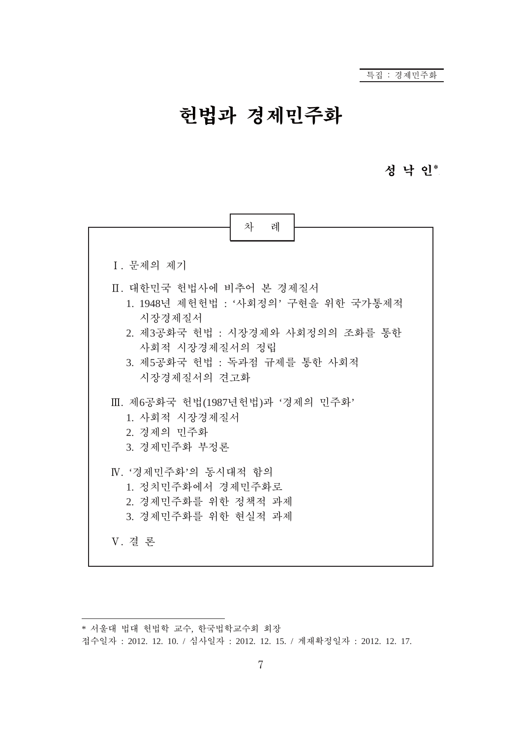# 헌법과 경제민주화

## 성 낙 인\*.



<sup>\*</sup> 서울대 법대 헌법학 교수, 한국법학교수회 회장

접수일자 : 2012. 12. 10. / 심사일자 : 2012. 12. 15. / 게재확정일자 : 2012. 12. 17.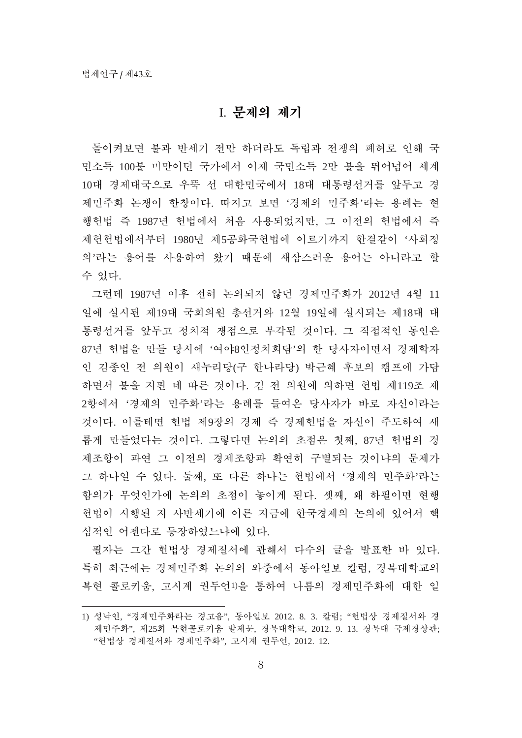#### I. 무제의 제기

돌이켜보면 불과 반세기 전만 하더라도 독립과 전쟁의 폐허로 인해 국 민소득 100불 미만이던 국가에서 이제 국민소득 2만 불을 뛰어넘어 세계 10대 경제대국으로 우뚝 선 대한민국에서 18대 대통령선거를 앞두고 경 제민주화 논쟁이 한창이다. 따지고 보면 '경제의 민주화'라는 용례는 현 행헌법 즉 1987년 헌법에서 처음 사용되었지만, 그 이전의 헌법에서 즉 제헌헌법에서부터 1980년 제5공화국헌법에 이르기까지 한결같이 '사회정 의'라는 용어를 사용하여 왔기 때문에 새삼스러운 용어는 아니라고 할 수 있다.

그런데 1987년 이후 전혀 논의되지 않던 경제민주화가 2012년 4월 11 일에 실시된 제19대 국회의원 총선거와 12월 19일에 실시되는 제18대 대 통령선거를 앞두고 정치적 쟁점으로 부각된 것이다. 그 직접적인 동인은 87년 헌법을 만들 당시에 '여야8인정치회담'의 한 당사자이면서 경제학자 인 김종인 전 의원이 새누리당(구 한나라당) 박근혜 후보의 캠프에 가담 하면서 불을 지핀 데 따른 것이다. 김 전 의원에 의하면 헌법 제119조 제 2항에서 '경제의 민주화'라는 용례를 들여온 당사자가 바로 자신이라는 것이다. 이를테면 헌법 제9장의 경제 즉 경제헌법을 자신이 주도하여 새 롭게 만들었다는 것이다. 그렇다면 논의의 초점은 첫째, 87년 헌법의 경 제조항이 과연 그 이전의 경제조항과 확연히 구별되는 것이냐의 문제가 그 하나일 수 있다. 둘째, 또 다른 하나는 헌법에서 '경제의 민주화'라는 함의가 무엇인가에 논의의 초점이 놓이게 된다. 셋째, 왜 하필이면 현행 헌법이 시행된 지 사반세기에 이른 지금에 한국경제의 논의에 있어서 핵 심적인 어젠다로 등장하였느냐에 있다.

필자는 그간 헌법상 경제질서에 관해서 다수의 글을 발표한 바 있다. 특히 최근에는 경제민주화 논의의 와중에서 동아일보 칼럼, 경북대학교의 복현 콜로키움, 고시계 권두언1)을 통하여 나름의 경제민주화에 대한 일

<sup>1)</sup> 성낙인, "경제민주화라는 경고음", 동아일보 2012. 8. 3. 칼럼; "헌법상 경제질서와 경 제민주화", 제25회 복현콜로키움 발제문, 경북대학교, 2012. 9. 13. 경북대 국제경상관; "헌법상 경제질서와 경제민주화", 고시계 권두언, 2012. 12.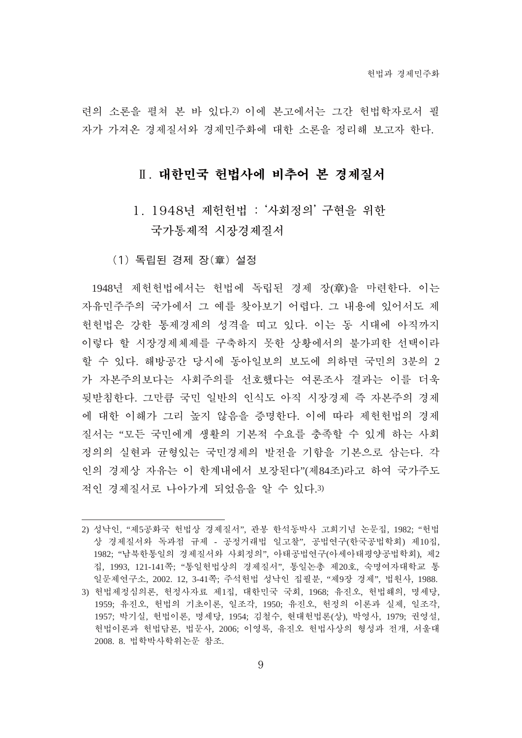려의 소론을 펼쳐 본 바 있다.2) 이에 본고에서는 그가 헌법학자로서 필 자가 가져온 경제질서와 경제민주화에 대한 소론을 정리해 보고자 한다.

## Ⅱ. 대한민국 헌법사에 비추어 본 경제질서

- 1. 1948년 제헌헌법: '사회정의' 구현을 위한 국가통제적 시장경제질서
- (1) 독립된 경제 장(章) 설정

1948년 제헌헌법에서는 헌법에 독립된 경제 장(章)을 마련한다. 이는 자유민주주의 국가에서 그 예를 찾아보기 어렵다. 그 내용에 있어서도 제 헌헌법은 강한 통제경제의 성격을 띠고 있다. 이는 동 시대에 아직까지 이렇다 할 시장경제체제를 구축하지 못한 상황에서의 불가피한 선택이라 할 수 있다. 해방공간 당시에 동아일보의 보도에 의하면 국민의 3부의 2 가 자본주의보다는 사회주의를 선호했다는 여론조사 결과는 이를 더욱 뒷받침한다. 그만큼 국민 일반의 인식도 아직 시장경제 즉 자본주의 경제 에 대한 이해가 그리 높지 않음을 증명한다. 이에 따라 제헌헌법의 경제 질서는 "모든 국민에게 생활의 기본적 수요를 충족할 수 있게 하는 사회 정의의 실현과 균형있는 국민경제의 발전을 기함을 기본으로 삼는다. 각 인의 경제상 자유는 이 학계내에서 보장된다"(제84조)라고 하여 국가주도 적인 경제질서로 나아가게 되었음을 알 수 있다.3)

<sup>2)</sup> 성낙인, "제5공화국 헌법상 경제질서", 관봉 한석동박사 고희기념 논문집, 1982; "헌법 상 경제질서와 독과점 규제 - 공정거래법 일고찰", 공법연구(한국공법학회) 제10집, 1982; "남북한통일의 경제질서와 사회정의", 아태공법연구(아세아태평양공법학회), 제2 집, 1993, 121-141쪽; "통일헌법상의 경제질서", 통일논총 제20호, 숙명여자대학교 통 일문제연구소, 2002. 12, 3-41쪽; 주석헌법 성낙인 집필분, "제9장 경제", 법원사, 1988.

<sup>3)</sup> 헌법제정심의론, 헌정사자료 제1집, 대한민국 국회, 1968; 유진오, 헌법해의, 명세당, 1959; 유진오, 헌법의 기초이론, 일조각, 1950; 유진오, 헌정의 이론과 실제, 일조각, 1957; 박기실, 헌법이론, 명세당, 1954; 김철수, 현대헌법론(상), 박영사, 1979; 권영설, 헌법이론과 헌법담론, 법문사, 2006; 이영록, 유진오 헌법사상의 형성과 전개, 서울대 2008. 8. 법학박사학위논문 참조.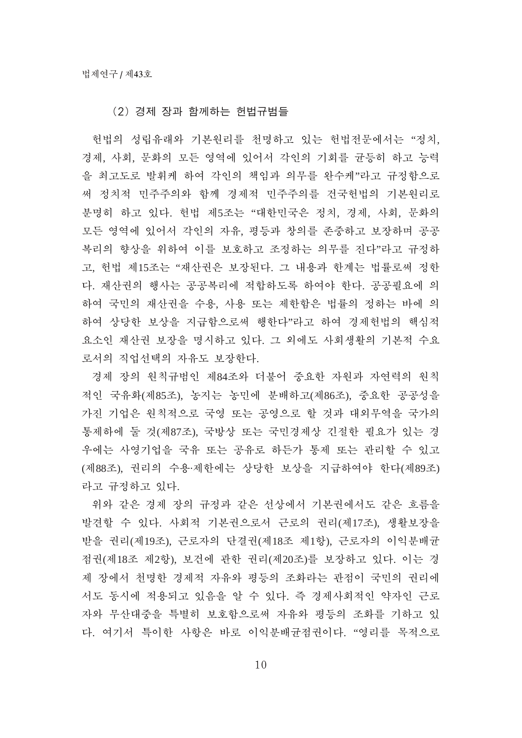#### (2) 경제 장과 함께하는 헌법규범들

헌법의 성립유래와 기본원리를 천명하고 있는 헌법전문에서는 "정치, 경제, 사회, 문화의 모든 영역에 있어서 각인의 기회를 균등히 하고 능력 을 최고도로 발휘케 하여 각인의 책임과 의무를 완수케"라고 규정함으로 써 정치적 민주주의와 함께 경제적 민주주의를 건국헌법의 기본원리로 분명히 하고 있다. 헌법 제5조는 "대한민국은 정치, 경제, 사회, 문화의 모든 영역에 있어서 각인의 자유, 평등과 창의를 존중하고 보장하며 공공 복리의 향상을 위하여 이를 보호하고 조정하는 의무를 진다"라고 규정하 고, 헌법 제15조는 "재산권은 보장된다. 그 내용과 한계는 법률로써 정한 다. 재산권의 행사는 공공복리에 적합하도록 하여야 한다. 공공필요에 의 하여 국민의 재산권을 수용, 사용 또는 제한함은 법률의 정하는 바에 의 하여 상당한 보상을 지급함으로써 행한다"라고 하여 경제헌법의 핵심적 요소인 재산권 보장을 명시하고 있다. 그 외에도 사회생활의 기본적 수요 로서의 직업선택의 자유도 보장한다.

경제 장의 원칙규범인 제84조와 더불어 중요한 자원과 자연력의 원칙 적인 국유화(제85조), 농지는 농민에 분배하고(제86조), 중요한 공공성을 가진 기업은 원칙적으로 국영 또는 공영으로 할 것과 대외무역을 국가의 통제하에 둘 것(제87조), 국방상 또는 국민경제상 긴절한 필요가 있는 경 우에는 사영기업을 국유 또는 공유로 하든가 통제 또는 관리할 수 있고 (제88조), 권리의 수용·제한에는 상당한 보상을 지급하여야 한다(제89조) 라고 규정하고 있다.

위와 같은 경제 장의 규정과 같은 선상에서 기본권에서도 같은 흐름을 발견할 수 있다. 사회적 기본권으로서 근로의 권리(제17조), 생활보장을 받을 권리(제19조), 근로자의 단결권(제18조 제1항), 근로자의 이익분배균 점권(제18조 제2항), 보건에 관한 권리(제20조)를 보장하고 있다. 이는 경 제 장에서 천명한 경제적 자유와 평등의 조화라는 관점이 국민의 권리에 서도 동시에 적용되고 있음을 알 수 있다. 즉 경제사회적인 약자인 근로 자와 무산대중을 특별히 보호함으로써 자유와 평등의 조화를 기하고 있 다. 여기서 특이한 사항은 바로 이익부배규점권이다. "영리를 목적으로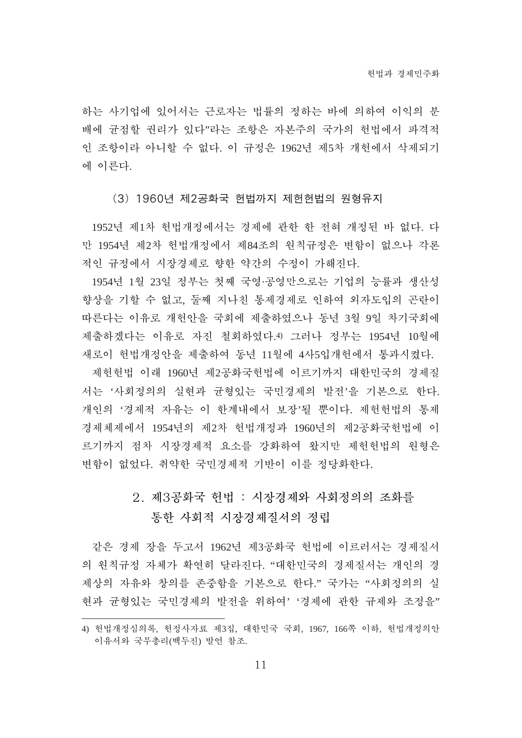하는 사기업에 있어서는 근로자는 법률의 정하는 바에 의하여 이익의 부 배에 균점할 권리가 있다"라는 조항은 자본주의 국가의 헌법에서 파격적 인 조항이라 아니할 수 없다. 이 규정은 1962년 제5차 개헌에서 삭제되기 에 이른다.

(3) 1960년 제2공화국 헌법까지 제헌헌법의 원형유지

1952년 제1차 헌법개정에서는 경제에 관한 한 전혀 개정된 바 없다. 다 만 1954년 제2차 헌법개정에서 제84조의 원칙규정은 변함이 없으나 각론 적인 규정에서 시장경제로 향한 약간의 수정이 가해진다.

1954년 1월 23일 정부는 첫째 국영·공영만으로는 기업의 능률과 생산성 향상을 기할 수 없고, 둘째 지나친 통제경제로 인하여 외자도입의 곤란이 따른다는 이유로 개헌안을 국회에 제출하였으나 동년 3월 9일 차기국회에 제출하겠다는 이유로 자진 철회하였다.4) 그러나 정부는 1954년 10월에 새로이 헌법개정안을 제출하여 동년 11월에 4사5입개헌에서 통과시켰다.

제헌헌법 이래 1960년 제2공화국헌법에 이르기까지 대한민국의 경제질 서는 '사회정의의 실현과 균형있는 국민경제의 발전'을 기본으로 한다. 개인의 '경제적 자유는 이 한계내에서 보장'될 뿐이다. 제헌헌법의 통제 경제체제에서 1954년의 제2차 헌법개정과 1960년의 제2공화국헌법에 이 르기까지 점차 시장경제적 요소를 강화하여 왔지만 제헌헌법의 원형은 변함이 없었다. 취약한 국민경제적 기반이 이를 정당화한다.

# 2. 제3공화국 헌법 : 시장경제와 사회정의의 조화를 통한 사회적 시장경제질서의 정립

같은 경제 장을 두고서 1962년 제3공화국 헌법에 이르러서는 경제질서 의 원칙규정 자체가 확연히 달라진다. "대한민국의 경제질서는 개인의 경 제상의 자유와 창의를 존중함을 기본으로 한다." 국가는 "사회정의의 실 현과 균형있는 국민경제의 발전을 위하여' '경제에 관한 규제와 조정을"

<sup>4)</sup> 헌법개정심의록, 헌정사자료 제3집, 대한민국 국회, 1967, 166쪽 이하, 헌법개정의안 이유서와 국무총리(백두진) 발언 참조.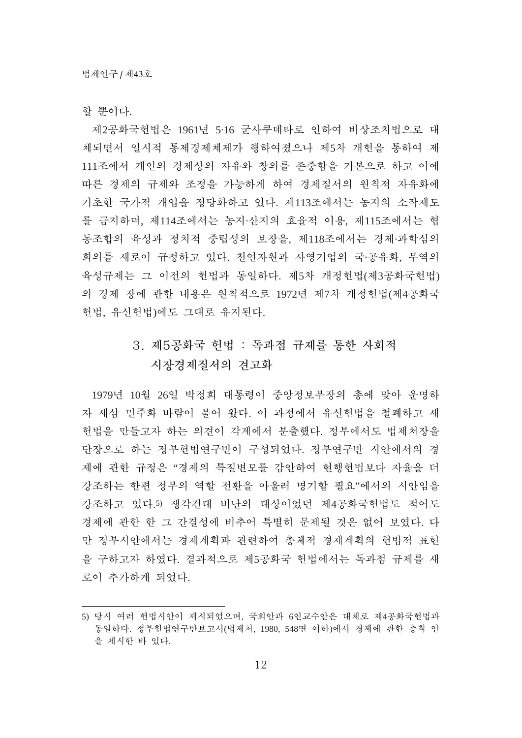할 뿐이다.

제2공화국헌법은 1961년 5·16 군사쿠데타로 인하여 비상조치법으로 대 체되면서 일시적 통제경제체제가 행하여졌으나 제5차 개헌을 통하여 제 111조에서 개인의 경제상의 자유와 창의를 존중함을 기본으로 하고 이에 따른 경제의 규제와 조정을 가능하게 하여 경제질서의 원칙적 자유화에 기초한 국가적 개입을 정당화하고 있다. 제113조에서는 농지의 소작제도 를 금지하며, 제114조에서는 농지·산지의 효율적 이용, 제115조에서는 협 동조합의 육성과 정치적 중립성의 보장을, 제118조에서는 경제·과학심의 회의를 새로이 규정하고 있다. 천연자원과 사영기업의 국·공유화, 무역의 육성규제는 그 이전의 헌법과 동일하다. 제5차 개정헌법(제3공화국헌법) 의 경제 장에 관한 내용은 원칙적으로 1972년 제7차 개정헌법(제4공화국 헌법, 유신헌법)에도 그대로 유지된다.

# 3. 제5공화국 헌법 : 독과점 규제를 통한 사회적 시장경제질서의 견고화

1979년 10월 26일 박정희 대통령이 중앙정보부장의 총에 맞아 운명하 자 새삼 민주화 바람이 불어 왔다. 이 과정에서 유신헌법을 철폐하고 새 헌법을 만들고자 하는 의견이 각계에서 분출했다. 정부에서도 법제처장을 단장으로 하는 정부헌법연구반이 구성되었다. 정부연구반 시안에서의 경 제에 관한 규정은 "경제의 특질변모를 감안하여 현행헌법보다 자율을 더 강조하는 한편 정부의 역할 전환을 아울러 명기할 필요"에서의 시안임을 강조하고 있다.5) 생각건대 비난의 대상이었던 제4공화국헌법도 적어도 경제에 관한 한 그 간결성에 비추어 특별히 문제될 것은 없어 보였다. 다 만 정부시안에서는 경제계획과 관련하여 총체적 경제계획의 헌법적 표현 을 구하고자 하였다. 결과적으로 제5공화국 헌법에서는 독과점 규제를 새 로이 추가하게 되었다.

<sup>5)</sup> 당시 여러 헌법시안이 제시되었으며, 국회안과 6인교수안은 대체로 제4공화국헌법과 동일하다. 정부헌법연구반보고서(법제처, 1980, 548면 이하)에서 경제에 관한 총칙 안 을 제시한 바 있다.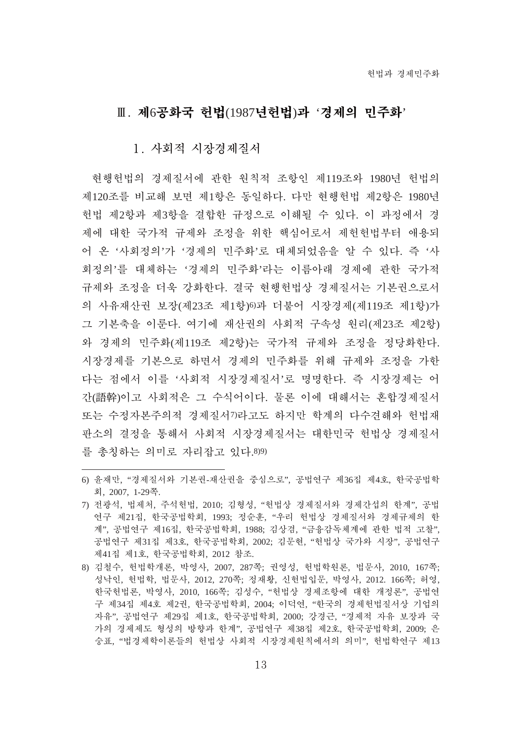# $II.$  제6공화국 헌법(1987년헌법)과 '경제의 민주화'

#### 1. 사회적 시장경제질서

현행헌법의 경제질서에 관한 원칙적 조항인 제119조와 1980년 헌법의 제120조를 비교해 보면 제1항은 동일하다. 다만 현행헌법 제2항은 1980년 헌법 제2항과 제3항을 결합한 규정으로 이해될 수 있다. 이 과정에서 경 제에 대한 국가적 규제와 조정을 위한 핵심어로서 제헌헌법부터 애용되 어 온 '사회정의'가 '경제의 민주화'로 대체되었음을 알 수 있다. 즉 '사 회정의'를 대체하는 '경제의 민주화'라는 이름아래 경제에 관한 국가적 규제와 조정을 더욱 강화한다. 결국 현행헌법상 경제질서는 기본권으로서 의 사유재산권 보장(제23조 제1항)6)과 더불어 시장경제(제119조 제1항)가 그 기본축을 이룬다. 여기에 재산권의 사회적 구속성 원리(제23조 제2항) 와 경제의 민주화(제119조 제2항)는 국가적 규제와 조정을 정당화한다. 시장경제를 기본으로 하면서 경제의 민주화를 위해 규제와 조정을 가한 다는 점에서 이를 '사회적 시장경제질서'로 명명한다. 즉 시장경제는 어 간(語幹)이고 사회적은 그 수식어이다. 물론 이에 대해서는 혼합경제질서 또는 수정자본주의적 경제질서7)라고도 하지만 학계의 다수견해와 헌법재 판소의 결정을 통해서 사회적 시장경제질서는 대한민국 헌법상 경제질서 를 총칭하는 의미로 자리잡고 있다.8)9)

<sup>6)</sup> 윤재만, "경제질서와 기본권-재산권을 중심으로", 공법연구 제36집 제4호, 한국공법학 葹, 2007, 1-29碪.

<sup>7)</sup> 전광석, 법제처, 주석헌법, 2010; 김형성, "헌법상 경제질서와 경제가섭의 한계", 공법 연구 제21집, 한국공법학회, 1993; 정순훈, "우리 헌법상 경제질서와 경제규제의 한 계", 공법연구 제16집, 한국공법학회, 1988; 김상겸, "금융감독체계에 관한 법적 고찰", 공법연구 제31집 제3호, 한국공법학회, 2002; 김문현, "헌법상 국가와 시장", 공법연구 제41집 제1호, 한국공법학회, 2012 참조.

<sup>8)</sup> 김철수, 헌법학개론, 박영사, 2007, 287쪽; 권영성, 헌법학원론, 법문사, 2010, 167쪽; 성낙인, 헌법학, 법문사, 2012, 270쪽; 정재황, 신헌법입문, 박영사, 2012. 166쪽; 허영, 한국헌법론, 박영사, 2010, 166쪽; 김성수, "헌법상 경제조항에 대한 개정론", 공법연 구 제34집 제4호 제2권, 한국공법학회, 2004; 이덕연, "한국의 경제헌법질서상 기업의 자유", 공법연구 제29집 제1호, 한국공법학회, 2000; 강경근, "경제적 자유 보장과 국 가의 경제제도 형성의 방향과 한계", 공법연구 제38집 제2호, 한국공법학회, 2009; 은 숭표, "법경제학이론들의 헌법상 사회적 시장경제원칙에서의 의미", 헌법학연구 제13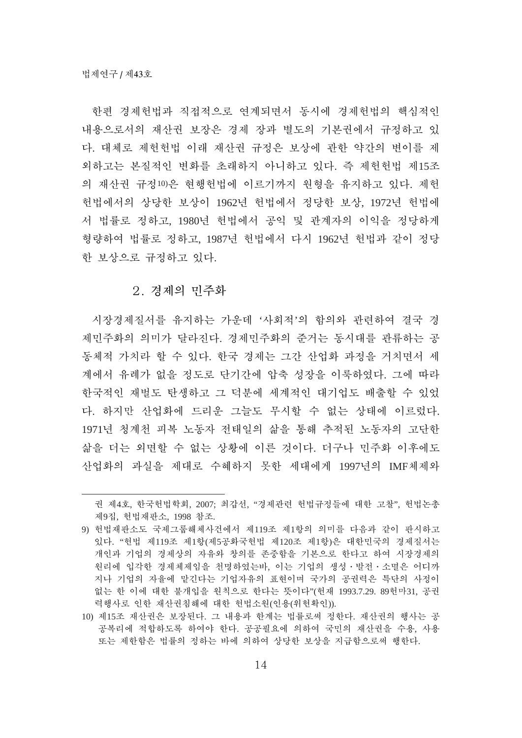한편 경제헌법과 직접적으로 여계되면서 동시에 경제헌법의 핵심적인 내용으로서의 재산권 보장은 경제 장과 별도의 기본권에서 규정하고 있 다. 대체로 제헌헌법 이래 재산권 규정은 보상에 관한 약간의 변이를 제 외하고는 본질적인 변화를 초래하지 아니하고 있다. 즉 제헌헌법 제15조 의 재산권 규정10)은 현행헌법에 이르기까지 원형을 유지하고 있다. 제헌 헌법에서의 상당한 보상이 1962년 헌법에서 정당한 보상, 1972년 헌법에 서 법률로 정하고, 1980년 헌법에서 공익 및 관계자의 이익을 정당하게 형량하여 법률로 정하고, 1987년 헌법에서 다시 1962년 헌법과 같이 정당 한 보상으로 규정하고 있다.

#### 2. 경제의 민주화

시장경제질서를 유지하는 가운데 '사회적'의 함의와 관련하여 결국 경 제민주화의 의미가 달라진다. 경제민주화의 준거는 동시대를 관류하는 공 동체적 가치라 할 수 있다. 한국 경제는 그간 산업화 과정을 거치면서 세 계에서 유례가 없을 정도로 단기간에 압축 성장을 이룩하였다. 그에 따라 한국적인 재벌도 탄생하고 그 덕분에 세계적인 대기업도 배출할 수 있었 다. 하지만 산업화에 드리운 그늘도 무시할 수 없는 상태에 이르렀다. 1971년 청계천 피복 노동자 전태일의 삶을 통해 추적된 노동자의 고단한 삶을 더는 외면할 수 없는 상황에 이른 것이다. 더구나 민주화 이후에도 산업화의 과실을 제대로 수혜하지 못한 세대에게 1997년의 IMF체제와

권 제4호, 한국헌법학회, 2007; 최갑선, "경제관련 헌법규정들에 대한 고찰", 헌법논총 제9집, 헌법재판소, 1998 참조.

<sup>9)</sup> 헌법재판소도 국제그룹해체사건에서 제119조 제1항의 의미를 다음과 같이 판시하고 있다. "헌법 제119조 제1항(제5공화국헌법 제120조 제1항)은 대한민국의 경제질서는 개인과 기업의 경제상의 자유와 창의를 존중함을 기본으로 한다고 하여 시장경제의 원리에 입각한 경제체제임을 천명하였는바, 이는 기업의 생성·발전·소멸은 어디까 지나 기업의 자율에 맡긴다는 기업자유의 표현이며 국가의 공권력은 특단의 사정이 없는 한 이에 대한 불개입을 원칙으로 한다는 뜻이다"(헌재 1993.7.29. 89헌마31, 공권 력행사로 인한 재산권침해에 대한 헌법소원(인용(위헌확인)).

<sup>10)</sup> 제15조 재산권은 보장된다. 그 내용과 한계는 법률로써 정한다. 재산권의 행사는 공 공복리에 적합하도록 하여야 한다. 공공필요에 의하여 국민의 재산권을 수용, 사용 또는 제한함은 법률의 정하는 바에 의하여 상당한 보상을 지급함으로써 행한다.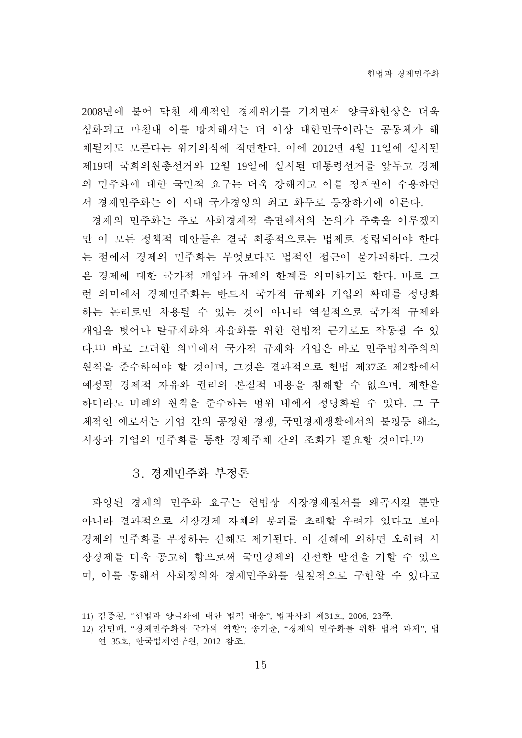2008년에 불어 닥친 세계적인 경제위기를 거치면서 양극화현상은 더욱 심화되고 마침내 이를 방치해서는 더 이상 대한민국이라는 공동체가 해 체될지도 모른다는 위기의식에 직면한다. 이에 2012년 4월 11일에 실시된 제19대 국회의원총선거와 12월 19일에 실시될 대통령선거를 앞두고 경제 의 민주화에 대한 국민적 요구는 더욱 강해지고 이를 정치권이 수용하면 서 경제민주화는 이 시대 국가경영의 최고 화두로 등장하기에 이른다.

경제의 민주화는 주로 사회경제적 측면에서의 논의가 주축을 이루겠지 만 이 모든 정책적 대안들은 결국 최종적으로는 법제로 정립되어야 한다 는 점에서 경제의 민주화는 무엇보다도 법적인 접근이 불가피하다. 그것 은 경제에 대한 국가적 개입과 규제의 한계를 의미하기도 한다. 바로 그 런 의미에서 경제민주화는 반드시 국가적 규제와 개입의 확대를 정당화 하는 논리로만 차용될 수 있는 것이 아니라 역설적으로 국가적 규제와 개입을 벗어나 탈규제화와 자율화를 위한 헌법적 근거로도 작동될 수 있 다.11) 바로 그러한 의미에서 국가적 규제와 개입은 바로 민주법치주의의 원칙을 준수하여야 할 것이며, 그것은 결과적으로 헌법 제37조 제2항에서 예정된 경제적 자유와 권리의 본질적 내용을 침해할 수 없으며, 제한을 하더라도 비례의 원칙을 준수하는 범위 내에서 정당화될 수 있다. 그 구 체적인 예로서는 기업 간의 공정한 경쟁, 국민경제생활에서의 불평등 해소, 시장과 기업의 민주화를 통한 경제주체 간의 조화가 필요할 것이다.12)

#### 3. 경제민주화 부정론

과잉된 경제의 민주화 요구는 헌법상 시장경제질서를 왜곡시킬 뿐만 아니라 결과적으로 시장경제 자체의 붕괴를 초래할 우려가 있다고 보아 경제의 민주화를 부정하는 견해도 제기된다. 이 견해에 의하면 오히려 시 장경제를 더욱 공고히 함으로써 국민경제의 건전한 발전을 기할 수 있으 며, 이를 통해서 사회정의와 경제민주화를 실질적으로 구현할 수 있다고

<sup>11)</sup> 김종철, "헌법과 양극화에 대한 법적 대응", 법과사회 제31호, 2006, 23쪽.

<sup>12)</sup> 김민배, "경제민주화와 국가의 역할"; 송기춘, "경제의 민주화를 위한 법적 과제", 법 연 35호, 한국법제연구원, 2012 참조.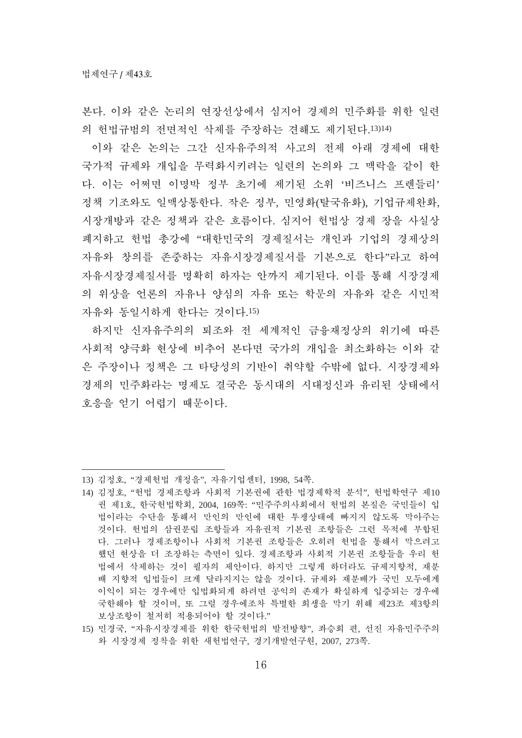본다. 이와 같은 논리의 여장서상에서 심지어 경제의 민주화를 위한 일련 의 헌법규범의 전면적인 삭제를 주장하는 견해도 제기된다.13)14)

이와 같은 논의는 그간 신자유주의적 사고의 전제 아래 경제에 대한 국가적 규제와 개입을 무력화시키려는 일련의 논의와 그 맥락을 같이 한 다. 이는 어쩌면 이명박 정부 초기에 제기된 소위 '비즈니스 프렌들리' 정책 기조와도 일맥상통한다. 작은 정부, 민영화(탈국유화), 기업규제완화, 시장개방과 같은 정책과 같은 흐름이다. 심지어 헌법상 경제 장을 사실상 폐지하고 헌법 총강에 "대한민국의 경제질서는 개인과 기업의 경제상의 자유와 창의를 존중하는 자유시장경제질서를 기본으로 한다"라고 하여 자유시장경제질서를 명확히 하자는 안까지 제기된다. 이를 통해 시장경제 의 위상을 어론의 자유나 양심의 자유 또는 학문의 자유와 같은 시민적 자유와 동일시하게 하다는 것이다.15)

하지만 신자유주의의 퇴조와 전 세계적인 금융재정상의 위기에 따른 사회적 양극화 현상에 비추어 본다면 국가의 개입을 최소화하는 이와 같 은 주장이나 정책은 그 타당성의 기반이 취약할 수밖에 없다. 시장경제와 경제의 민주화라는 명제도 결국은 동시대의 시대정신과 유리된 상태에서 호응을 얻기 어렵기 때문이다.

<sup>13)</sup> 김정호, "경제헌법 개정을", 자유기업센터, 1998, 54쪽.

<sup>14)</sup> 김정호, "헌법 경제조항과 사회적 기본권에 관한 법경제학적 분석", 헌법학연구 제10 권 제1호, 한국헌법학회, 2004, 169쪽: "민주주의사회에서 헌법의 본질은 국민들이 입 법이라는 수단을 통해서 만인의 만인에 대한 투쟁상태에 빠지지 않도록 막아주는 것이다. 헌법의 삼권분립 조항들과 자유권적 기본권 조항들은 그런 목적에 부합된 다. 그러나 경제조항이나 사회적 기본권 조항들은 오히려 헌법을 통해서 막으려고 했던 현상을 더 조장하는 측면이 있다. 경제조항과 사회적 기본권 조항들을 우리 헌 법에서 삭제하는 것이 필자의 제안이다. 하지만 그렇게 하더라도 규제지향적, 재분 배 지향적 입법들이 크게 달라지지는 않을 것이다. 규제와 재분배가 국민 모두에게 이익이 되는 경우에만 입법화되게 하려면 공익의 존재가 확실하게 입증되는 경우에 국한해야 할 것이며, 또 그럴 경우에조차 특별한 희생을 막기 위해 제23조 제3항의 보상조항이 철저히 적용되어야 할 것이다."

<sup>15)</sup> 민경국, "자유시장경제를 위한 한국헌법의 발전방향", 좌승희 편, 선진 자유민주주의 와 시장경제 정착을 위한 새헌법연구, 경기개발연구원, 2007, 273쪽.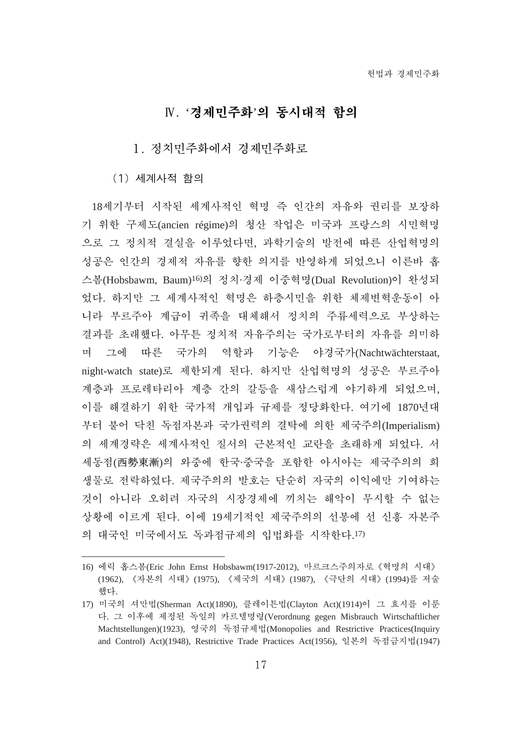# $W.$  '경제민주화'의 동시대적 함의

#### 1. 정치민주화로

(1) 세계사적 함의

18세기부터 시작된 세계사적인 혁명 즉 인간의 자유와 권리를 보장하 기 위한 구제도(ancien régime)의 청산 작업은 미국과 프랑스의 시민혁명 으로 그 정치적 결실을 이루었다면, 과학기술의 발전에 따른 산업혁명의 성공은 인간의 경제적 자유를 향한 의지를 반영하게 되었으니 이른바 홉 스봄(Hobsbawm, Baum)<sup>16)</sup>의 정치·경제 이중혁명(Dual Revolution)이 완성되 었다. 하지만 그 세계사적인 혁명은 하층시민을 위한 체제변혁운동이 아 니라 부르주아 계급이 귀족을 대체해서 정치의 주류세력으로 부상하는 결과를 초래했다. 아무튼 정치적 자유주의는 국가로부터의 자유를 의미하 며 그에 따른 국가의 역할과 기능은 야경국가(Nachtwächterstaat, night-watch state)로 제한되게 된다. 하지만 산업혁명의 성공은 부르주아 계층과 프로레타리아 계층 간의 갈등을 새삼스럽게 야기하게 되었으며, 이를 해결하기 위한 국가적 개입과 규제를 정당화한다. 여기에 1870년대 부터 불어 닥친 독점자본과 국가권력의 결탁에 의한 제국주의(Imperialism) 의 세계경략은 세계사적인 질서의 근본적인 교란을 초래하게 되었다. 서 세동점(西勢東漸)의 와중에 한국·중국을 포함한 아시아는 제국주의의 희 생물로 전락하였다. 제국주의의 발호는 단순히 자국의 이익에만 기여하는 것이 아니라 오히려 자국의 시장경제에 끼치는 해악이 무시할 수 없는 상황에 이르게 된다. 이에 19세기적인 제국주의의 선봉에 선 신홍 자본주 의 대국인 미국에서도 독과점규제의 입법화를 시작한다.17)

<sup>16)</sup> 에릭 홉스봄(Eric John Ernst Hobsbawm(1917-2012), 마르크스주의자로 《혁명의 시대》 (1962), 《자본의 시대》(1975), 《제국의 시대》(1987), 《극단의 시대》(1994)를 저술 했다.

<sup>17)</sup> 미국의 셔만법(Sherman Act)(1890), 클레이튼법(Clayton Act)(1914)이 그 효시를 이룬 다. 그 이후에 제정된 독일의 카르텔명령(Verordnung gegen Misbrauch Wirtschaftlicher Machtstellungen)(1923), 영국의 독점규제법(Monopolies and Restrictive Practices(Inquiry and Control) Act)(1948), Restrictive Trade Practices Act(1956), 일본의 독점금지법(1947)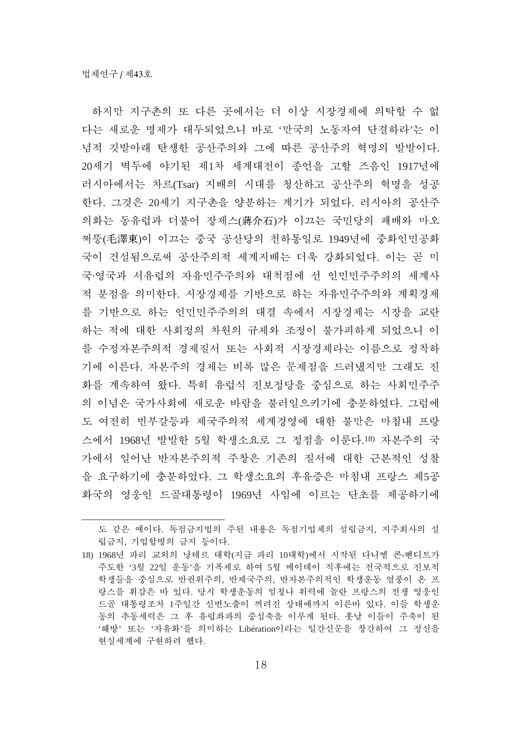하지만 지구촌의 또 다른 곳에서는 더 이상 시장경제에 의탁할 수 없 다는 새로운 명제가 대두되었으니 바로 '만국의 노동자여 단결하라'는 이 념적 깃발아래 탄생한 공산주의와 그에 따른 공산주의 혁명의 발발이다. 20세기 벽두에 야기된 제1차 세계대전이 종언을 고할 즈음인 1917년에 러시아에서는 차르(Tsar) 지배의 시대를 청산하고 공산주의 혁명을 성공 한다. 그것은 20세기 지구촌을 양분하는 계기가 되었다. 러시아의 공산주 의화는 동유럽과 더불어 장제스(蔣介石)가 이끄는 국민당의 패배와 마오 쩌뚱(毛澤東)이 이끄는 중국 공산당의 천하통일로 1949년에 중화인민공화 국이 거설됨으로써 공산주의적 세계지배는 더욱 강화되었다. 이는 곧 미 국·영국과 서유럽의 자유민주주의와 대척점에 선 인민민주주의의 세계사 적 분점을 의미한다. 시장경제를 기반으로 하는 자유민주주의와 계획경제 를 기반으로 하는 이민민주주의의 대결 속에서 시장경제는 시장을 교란 하는 적에 대한 사회정의 차원의 규제와 조정이 불가피하게 되었으니 이 를 수정자본주의적 경제질서 또는 사회적 시장경제라는 이름으로 정착하 기에 이른다. 자본주의 경제는 비록 많은 문제점을 드러냈지만 그래도 진 화를 계속하여 왔다. 특히 유럽식 진보정당을 중심으로 하는 사회민주주 의 이념은 국가사회에 새로운 바람을 불러일으키기에 충분하였다. 그럼에 도 여전히 빈부갈등과 제국주의적 세계경영에 대한 불만은 마침내 프랑 스에서 1968년 발발한 5월 학생소요로 그 정점을 이루다.18) 자본주의 국 가에서 일어난 반자본주의적 주창은 기존의 질서에 대한 근본적인 성찰 을 요구하기에 충분하였다. 그 학생소요의 후유증은 마침내 프랑스 제5공 화국의 영웅인 드골대통령이 1969년 사임에 이르는 단초를 제공하기에

도 같은 예이다. 독점금지법의 주된 내용은 독점기업체의 설립금지, 지주회사의 설 립금지, 기업합병의 금지 등이다.

<sup>18) 1968</sup>년 파리 교외의 낭테르 대학(지금 파리 10대학)에서 시작된 다니엘 콘-베디트가 주도한 '3월 22일 운동'을 기폭제로 하여 5월 메이데이 직후에는 전국적으로 진보적 학생들을 중심으로 반권위주의, 반제국주의, 반자본주의적인 학생운동 열풍이 온 프 랑스를 휘감은 바 있다. 당시 학생운동의 엄청나 위력에 놀란 프랑스의 전쟁 영웅인 드골 대통령조차 1주일간 신변노출이 꺼려진 상태에까지 이른바 있다. 이들 학생운 동의 추동세력은 그 후 유럽좌파의 중심축을 이루게 된다. 훗날 이들이 주축이 된 '해방' 또는 '자유화'를 의미하는 Libération이라는 일간신문을 창간하여 그 정신을 현실세계에 구현하려 했다.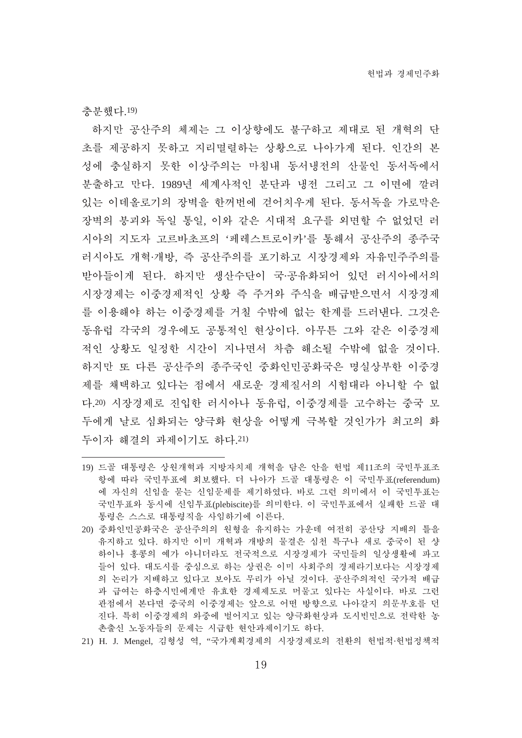箖歱荵惑.19)

하지만 공산주의 체제는 그 이상향에도 불구하고 제대로 된 개혁의 단 초를 제공하지 못하고 지리멸렬하는 상황으로 나아가게 된다. 인간의 본 성에 충실하지 못한 이상주의는 마침내 동서냉전의 산물인 동서독에서 분출하고 만다. 1989년 세계사적인 분단과 냉전 그리고 그 이면에 깔려 있는 이데올로기의 장벽을 한꺼번에 걷어치우게 된다. 동서독을 가로막은 장벽의 붕괴와 독일 통일, 이와 같은 시대적 요구를 외면할 수 없었던 러 시아의 지도자 고르바초프의 '페레스트로이카'를 통해서 공산주의 종주국 러시아도 개혁·개방, 즉 공산주의를 포기하고 시장경제와 자유민주주의를 받아들이게 된다. 하지만 생산수단이 국·공유화되어 있던 러시아에서의 시장경제는 이중경제적인 상황 즉 주거와 주식을 배급받으면서 시장경제 를 이용해야 하는 이중경제를 거칠 수밖에 없는 한계를 드러내다. 그것은 동유럽 각국의 경우에도 공통적인 현상이다. 아무튼 그와 같은 이중경제 적인 상황도 일정한 시간이 지나면서 차츰 해소될 수밖에 없을 것이다. 하지만 또 다른 공산주의 종주국인 중화인민공화국은 명실상부한 이중경 제를 채택하고 있다는 점에서 새로운 경제질서의 시험대라 아니할 수 없 다.20) 시장경제로 진입한 러시아나 동유럽, 이중경제를 고수하는 중국 모 두에게 날로 심화되는 양극화 현상을 어떻게 극복할 것인가가 최고의 화 두이자 해결의 과제이기도 하다.21)

- 19) 드골 대통령은 상원개혁과 지방자치제 개혁을 담은 안을 헌법 제11조의 국민투표조 항에 따라 국민투표에 회보했다. 더 나아가 드골 대통령은 이 국민투표(referendum) 에 자신의 신임을 묻는 신임문제를 제기하였다. 바로 그런 의미에서 이 국민투표는 국민투표와 동시에 신임투표(plebiscite)를 의미하다. 이 국민투표에서 실패하 드골 대 통령은 스스로 대통령직을 사임하기에 이른다.
- 20) 중화인민공화국은 공산주의의 원형을 유지하는 가운데 여전히 공산당 지배의 틀을 유지하고 있다. 하지만 이미 개혁과 개방의 물결은 심천 특구나 새로 중국이 된 샹 하이나 홍콩의 예가 아니더라도 전국적으로 시장경제가 국민들의 일상생활에 파고 들어 있다. 대도시를 중심으로 하는 상권은 이미 사회주의 경제라기보다는 시장경제 의 논리가 지배하고 있다고 보아도 무리가 아닐 것이다. 공산주의적인 국가적 배급 과 급여는 하층시민에게만 유효한 경제제도로 머물고 있다는 사실이다. 바로 그런 관점에서 본다면 중국의 이중경제는 앞으로 어떤 방향으로 나아갈지 의문부호를 던 진다. 특히 이중경제의 와중에 벌어지고 있는 양극화현상과 도시빈민으로 전락한 농 촌출신 노동자들의 문제는 시급한 현안과제이기도 하다.
- 21) H. J. Mengel, 김형성 역, "국가계획경제의 시장경제로의 전환의 헌법적·헌법정책적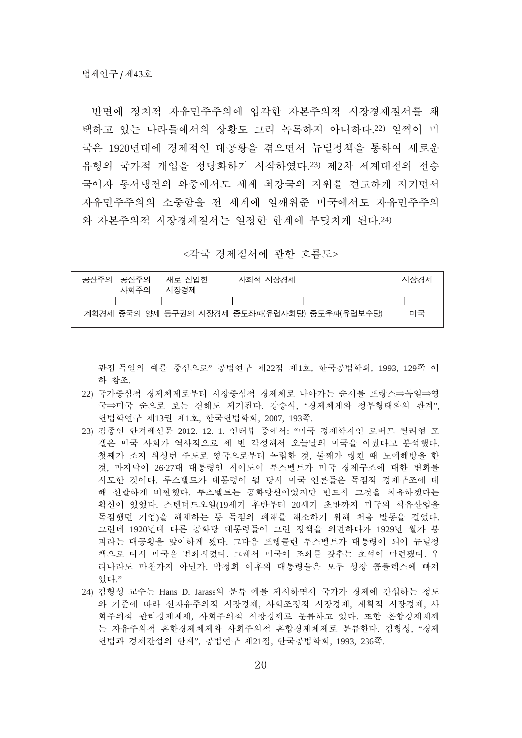반면에 정치적 자유민주주의에 입각한 자본주의적 시장경제질서를 채 택하고 있는 나라들에서의 상황도 그리 녹록하지 아니하다.22) 일찍이 미 국은 1920년대에 경제적인 대공황을 겪으면서 뉴딜정책을 통하여 새로운 유형의 국가적 개입을 정당화하기 시작하였다.23) 제2차 세계대전의 전승 국이자 동서냉전의 와중에서도 세계 최강국의 지위를 견고하게 지키면서 자유민주주의의 소중함을 전 세계에 일깨워준 미국에서도 자유민주주의 와 자본주의적 시장경제질서는 일정한 한계에 부딪치게 된다.24)

<각국 경제질서에 관한 흐름도>

| 공사주의 공사주의<br>사회주의 | 새로 지인한<br>시장경제 | 사회적 시장경제                                      | 시장경제 |
|-------------------|----------------|-----------------------------------------------|------|
|                   |                |                                               |      |
|                   |                | 계획경제 중국의 양제 동구권의 시장경제 중도좌파(유럽사회당) 중도우파(유럽보수당) | 미국   |

관점-독일의 예를 중심으로"공법연구 제22집 제1호, 한국공법학회, 1993, 129쪽 이 하 참조.

- 22) 국가중심적 경제체로부터 시장중심적 경제체로 나아가는 순서를 프랑스⇒독일⇒영 국⇒미국 순으로 보는 견해도 제기된다. 강승식, "경제체제와 정부형태와의 관계", 현법학연구 제13권 제1호, 한국헌법학회, 2007, 193쪽.
- 23) 김종인 한겨레신문 2012. 12. 1. 인터뷰 중에서: "미국 경제학자인 로버트 윌리엄 포 겔은 미국 사회가 역사적으로 세 번 각성해서 오늘날의 미국을 이뤘다고 분석했다. 첫째가 조지 워싱턴 주도로 영국으로부터 독립한 것, 둘째가 링컨 때 노예해방을 한 것, 마지막이 26·27대 대통령인 시어도어 루스벨트가 미국 경제구조에 대한 변화를 시도한 것이다. 루스벨트가 대통령이 될 당시 미국 언론들은 독점적 경제구조에 대 해 신랄하게 비판했다. 루스벨트는 공화당원이었지만 반드시 그것을 치유하겠다는 확신이 있었다. 스태더드오일(19세기 후반부터 20세기 초반까지 미국의 석유산업을 독점했던 기업)을 해체하는 등 독점의 폐해를 해소하기 위해 처음 발동을 걸었다. 그런데 1920년대 다른 공화당 대통령들이 그런 정책을 외면하다가 1929년 월가 붕 괴라는 대공황을 맞이하게 됐다. 그다음 프랭클린 루스벨트가 대통령이 되어 뉴딜정 책으로 다시 미국을 변화시켰다. 그래서 미국이 조화를 갖추는 초석이 마련됐다. 우 리나라도 마찬가지 아닌가. 박정희 이후의 대통령들은 모두 성장 콤플렉스에 빠져 있다."
- 24) 김형성 교수는 Hans D. Jarass의 분류 예를 제시하면서 국가가 경제에 간섭하는 정도 와 기준에 따라 신자유주의적 시장경제, 사회조정적 시장경제, 계획적 시장경제, 사 회주의적 관리경제체, 사회주의적 시장경제로 분류하고 있다. 또한 혼합경제체제 는 자유주의적 혼한경제체제와 사회주의적 혼합경제체제로 분류한다. 김형성. "경제 헌법과 경제간섭의 한계", 공법연구 제21집, 한국공법학회, 1993, 236쪽.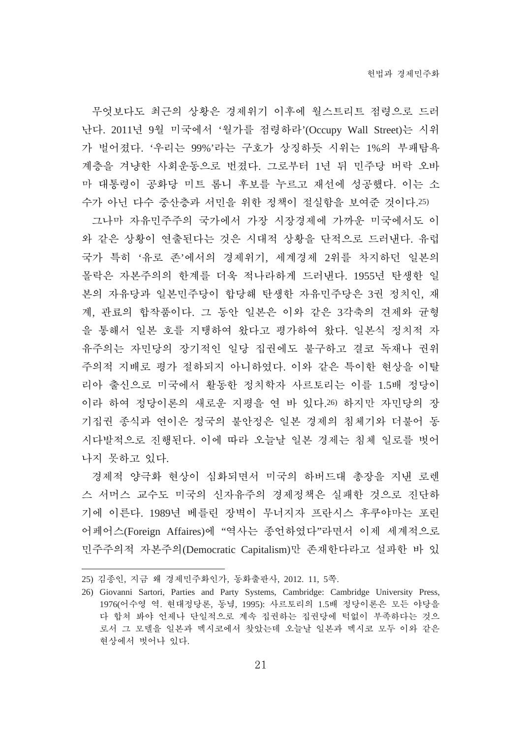무엇보다도 최근의 상황은 경제위기 이후에 월스트리트 점령으로 드러 난다. 2011년 9월 미국에서 '월가를 점령하라'(Occupy Wall Street)는 시위 가 벌어졌다. '우리는 99%'라는 구호가 상징하듯 시위는 1%의 부패탐욕 계층을 겨냥한 사회운동으로 번졌다. 그로부터 1년 뒤 민주당 버락 오바 마 대통령이 공화당 미트 롬니 후보를 누르고 재선에 성공했다. 이는 소 수가 아닌 다수 중산층과 서민을 위한 정책이 절실함을 보여준 것이다.25)

그나마 자유민주주의 국가에서 가장 시장경제에 가까운 미국에서도 이 와 같은 상황이 연출된다는 것은 시대적 상황을 단적으로 드러낸다. 유럽 국가 특히'유로 존'에서의 경제위기. 세계경제 2위를 차지하던 일본의 몰락은 자본주의의 한계를 더욱 적나라하게 드러내다. 1955년 탄생한 일 본의 자유당과 일본민주당이 합당해 탄생한 자유민주당은 3권 정치인, 재 계, 관료의 합작품이다. 그 동안 일본은 이와 같은 3각축의 견제와 규형 을 통해서 일본 호를 지탱하여 왔다고 평가하여 왔다. 일본식 정치적 자 유주의는 자민당의 장기적인 일당 집권에도 불구하고 결코 독재나 권위 주의적 지배로 평가 절하되지 아니하였다. 이와 같은 특이한 현상을 이탈 리아 출신으로 미국에서 활동한 정치학자 사르토리는 이를 1.5배 정당이 이라 하여 정당이론의 새로운 지평을 연 바 있다.26) 하지만 자민당의 장 기집권 종식과 연이은 정국의 불안정은 일본 경제의 침체기와 더불어 동 시다발적으로 진행된다. 이에 따라 오늘날 일본 경제는 침체 일로를 벗어 나지 못하고 있다.

경제적 양극화 현상이 심화되면서 미국의 하버드대 총장을 지낸 로렌 스 서머스 교수도 미국의 신자유주의 경제정책은 실패한 것으로 진단하 기에 이른다. 1989년 베를린 장벽이 무너지자 프란시스 후쿠야마는 포린 어페어스(Foreign Affaires)에 "역사는 종언하였다"라면서 이제 세계적으로 민주주의적 자본주의(Democratic Capitalism)만 존재한다라고 설파한 바 있

<sup>25)</sup> 김종인, 지금 왜 경제민주화인가, 동화출판사, 2012. 11, 5쪽.

<sup>26)</sup> Giovanni Sartori, Parties and Party Systems, Cambridge: Cambridge University Press, 1976(어수영 역. 현대정당론, 동녘, 1995): 사르토리의 1.5배 정당이론은 모든 야당을 다 합쳐 봐야 언제나 단일적으로 계속 집권하는 집권당에 턱없이 부족하다는 것으 로서 그 모델을 일본과 멕시코에서 찾았는데 오늘날 일본과 멕시코 모두 이와 같은 현상에서 벗어나 있다.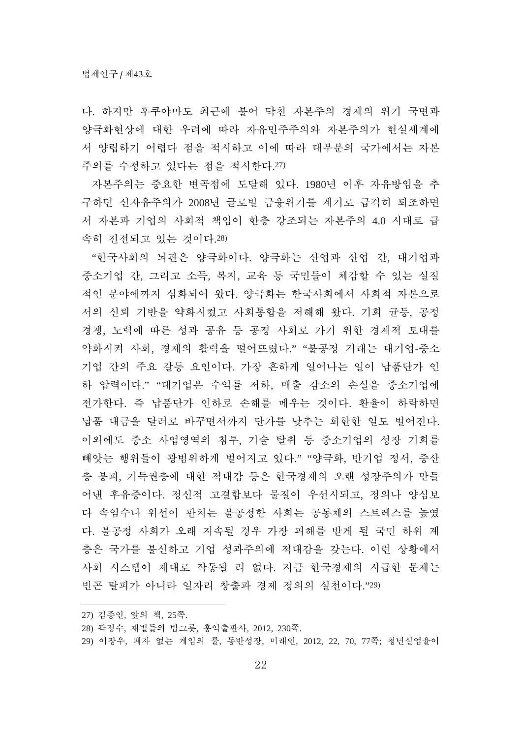다. 하지만 후쿠야마도 최근에 불어 닥친 자본주의 경제의 위기 국면과 양극화현상에 대한 우려에 따라 자유민주주의와 자본주의가 현실세계에 서 양립하기 어렵다 점을 적시하고 이에 따라 대부분의 국가에서는 자본 주의를 수정하고 있다는 점을 적시한다.27)

자본주의는 중요한 변곡점에 도달해 있다. 1980년 이후 자유방임을 추 구하던 신자유주의가 2008년 글로벌 금융위기를 계기로 급격히 퇴조하면 서 자본과 기업의 사회적 책임이 한층 강조되는 자본주의 4.0 시대로 급 속히 진전되고 있는 것이다.28)

"한국사회의 뇌관은 양극화이다. 양극화는 산업과 산업 간, 대기업과 중소기업 간, 그리고 소득, 복지, 교육 등 국민들이 체감할 수 있는 실질 적인 분야에까지 심화되어 왔다. 양극화는 한국사회에서 사회적 자본으로 서의 신뢰 기반을 약화시켰고 사회통합을 저해해 왔다. 기회 균등, 공정 경쟁, 노력에 따른 성과 공유 등 공정 사회로 가기 위한 경제적 토대를 약화시켜 사회, 경제의 활력을 떨어뜨렸다." "불공정 거래는 대기업-중소 기업 간의 주요 갈등 요인이다. 가장 흔하게 일어나는 일이 납품단가 인 하 압력이다." "대기업은 수익률 저하, 매출 감소의 손실을 중소기업에 전가한다. 즉 납품단가 인하로 손해를 메우는 것이다. 환율이 하락하면 납품 대금을 달러로 바꾸면서까지 단가를 낮추는 희한한 일도 벌어진다. 이외에도 중소 사업영역의 침투, 기술 탈취 등 중소기업의 성장 기회를 빼앗는 행위들이 광범위하게 벌어지고 있다." "양극화, 반기업 정서, 중산 층 붕괴, 기득권층에 대한 적대감 등은 한국경제의 오랜 성장주의가 만들 어낸 후유증이다. 정신적 고결함보다 물질이 우선시되고, 정의나 양심보 다 속임수나 위선이 판치는 불공정한 사회는 공동체의 스트레스를 높였 다. 불공정 사회가 오래 지속될 경우 가장 피해를 받게 될 국민 하위 계 층은 국가를 불신하고 기업 성과주의에 적대감을 갖는다. 이런 상황에서 사회 시스템이 제대로 작동될 리 없다. 지금 한국경제의 시급한 문제는 빈곤 탈피가 아니라 일자리 창출과 경제 정의의 실천이다."29)

<sup>27)</sup> 김종인, 앞의 책, 25쪽.

<sup>28)</sup> 곽정수, 재벌들의 밥그릇, 홍익출판사, 2012, 230쪽.

<sup>29)</sup> 이장우, 패자 없는 게임의 룰, 동반성장, 미래인, 2012, 22, 70, 77쪽; 청년실업율이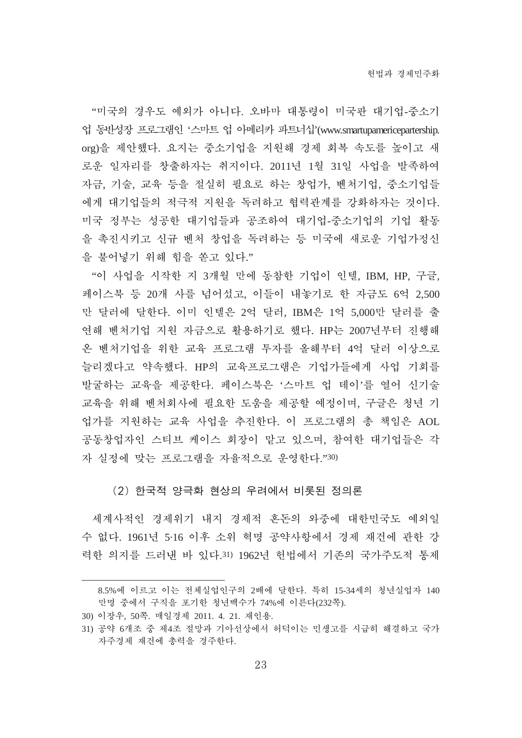"미국의 경우도 예외가 아니다. 오바마 대통령이 미국판 대기업-중소기 업 동빈성장 프로그램인 '스마트 업 아메리카 파트너십'(www.smartupamericepartership. org)을 제안했다. 요지는 중소기업을 지원해 경제 회복 속도를 높이고 새 로운 일자리를 창출하자는 취지이다. 2011년 1월 31일 사업을 발족하여 자금, 기술, 교육 등을 절실히 필요로 하는 창업가, 벤처기업, 중소기업들 에게 대기업들의 적극적 지원을 독려하고 협력관계를 강화하자는 것이다. 미국 정부는 성공한 대기업들과 공조하여 대기업-중소기업의 기업 활동 을 촉진시키고 신규 벤처 창업을 독려하는 등 미국에 새로운 기업가정신 을 불어넣기 위해 힘을 쏟고 있다."

"이 사업을 시작한 지 3개월 만에 동참한 기업이 인텔, IBM, HP, 구글, 페이스북 등 20개 사를 넘어섰고, 이들이 내놓기로 한 자금도 6억 2,500 만 달러에 달한다. 이미 인텔은 2억 달러. IBM은 1억 5,000만 달러를 출 연해 벤처기업 지원 자금으로 활용하기로 했다. HP는 2007년부터 진행해 온 벤처기업을 위한 교육 프로그램 투자를 올해부터 4억 달러 이상으로 늘리겠다고 약속했다. HP의 교육프로그램은 기업가들에게 사업 기회를 발굴하는 교육을 제공한다. 페이스북은 '스마트 업 데이'를 열어 신기술 교육을 위해 벤처회사에 필요한 도움을 제공할 예정이며, 구글은 청년 기 업가를 지원하는 교육 사업을 추진한다. 이 프로그램의 총 책임은 AOL 공동창업자인 스티브 케이스 회장이 맡고 있으며, 참여한 대기업들은 각 자 실정에 맞는 프로그램을 자율적으로 운영한다."30)

#### (2) 한국적 양극화 현상의 우려에서 비롯된 정의론

세계사적인 경제위기 내지 경제적 혼돈의 와중에 대한민국도 예외일 수 없다. 1961년 5·16 이후 소위 혁명 공약사항에서 경제 재건에 관한 강 력한 의지를 드러낸 바 있다.31) 1962년 헌법에서 기존의 국가주도적 통제

<sup>8.5%</sup>에 이르고 이는 전체실업인구의 2배에 달한다. 특히 15-34세의 청년실업자 140 만명 중에서 구직을 포기한 청년백수가 74%에 이른다(232쪽).

<sup>30)</sup> 이장우, 50쪽. 매일경제 2011. 4. 21. 재인용.

<sup>31)</sup> 공약 6개조 중 제4조 절망과 기아선상에서 허덕이는 민생고를 시급히 해결하고 국가 자주경제 재건에 총력을 경주한다.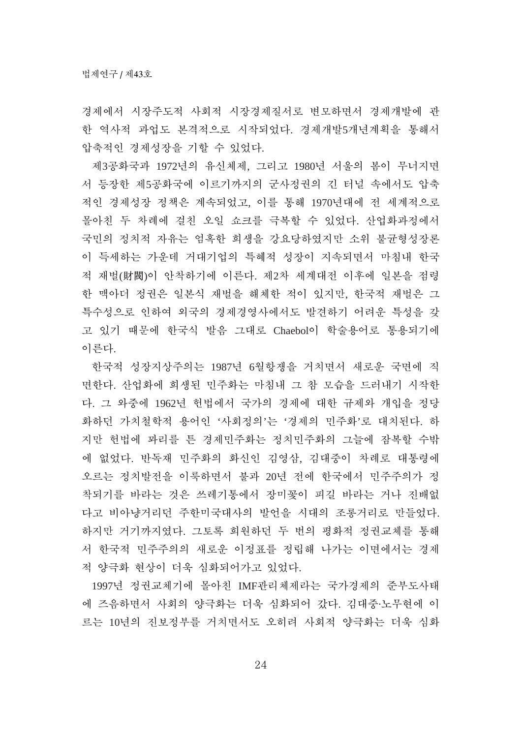경제에서 시장주도적 사회적 시장경제질서로 변모하면서 경제개발에 관 한 역사적 과업도 본격적으로 시작되었다. 경제개발5개년계획을 통해서 압축적인 경제성장을 기할 수 있었다.

제3공화국과 1972년의 유신체제, 그리고 1980년 서울의 봄이 무너지면 서 등장한 제5공화국에 이르기까지의 군사정권의 긴 터널 속에서도 압축 적인 경제성장 정책은 계속되었고, 이를 통해 1970년대에 전 세계적으로 몰아친 두 차례에 걸친 오일 쇼크를 극복할 수 있었다. 산업화과정에서 국민의 정치적 자유는 엄혹한 희생을 강요당하였지만 소위 불균형성장론 이 득세하는 가운데 거대기업의 특혜적 성장이 지속되면서 마침내 한국 적 재벌(財閥)이 아착하기에 이른다. 제2차 세계대전 이후에 일본을 점령 한 맥아더 정권은 일본식 재벌을 해체한 적이 있지만, 한국적 재벌은 그 특수성으로 인하여 외국의 경제경영사에서도 발견하기 어려운 특성을 갖 고 있기 때문에 한국식 발음 그대로 Chaebol이 학술용어로 통용되기에 이른다.

한국적 성장지상주의는 1987년 6월항쟁을 거치면서 새로운 국면에 직 면한다. 산업화에 희생된 민주화는 마침내 그 참 모습을 드러내기 시작한 다. 그 와중에 1962년 헌법에서 국가의 경제에 대한 규제와 개입을 정당 화하던 가치철학적 용어인 '사회정의'는 '경제의 민주화'로 대치된다. 하 지만 헌법에 꽈리를 튼 경제민주화는 정치민주화의 그늘에 잠복할 수밖 에 없었다. 반독재 민주화의 화신인 김영삼, 김대중이 차례로 대통령에 오르는 정치발전을 이룩하면서 불과 20년 전에 한국에서 민주주의가 정 착되기를 바라는 것은 쓰레기통에서 장미꽃이 피길 바라는 거나 진배없 다고 비아냥거리던 주한미국대사의 발언을 시대의 조롱거리로 만들었다. 하지만 거기까지였다. 그토록 희원하던 두 번의 평화적 정권교체를 통해 서 한국적 민주주의의 새로운 이정표를 정립해 나가는 이면에서는 경제 적 양극화 현상이 더욱 심화되어가고 있었다.

1997년 정권교체기에 몰아친 IMF관리체제라는 국가경제의 준부도사태 에 즈음하면서 사회의 양극화는 더욱 심화되어 갔다. 김대중·노무현에 이 르는 10년의 진보정부를 거치면서도 오히려 사회적 양극화는 더욱 심화

24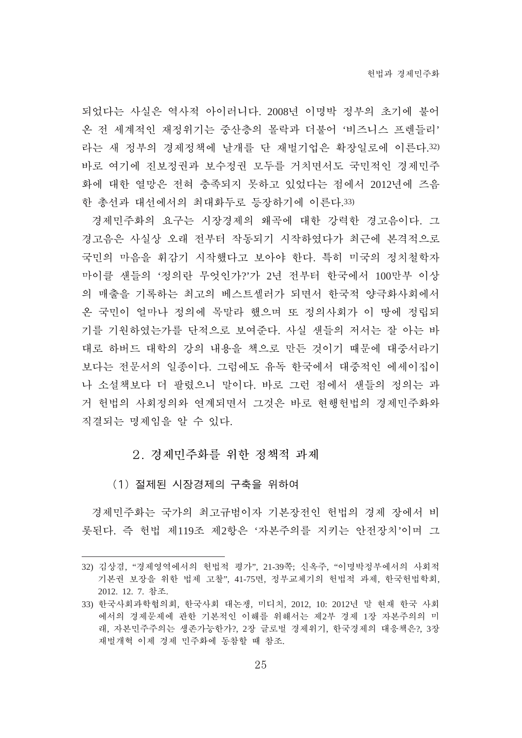되었다는 사실은 역사적 아이러니다. 2008년 이명박 정부의 초기에 불어 온 전 세계적인 재정위기는 중산층의 몰락과 더불어 '비즈니스 프렌들리' 라는 새 정부의 경제정책에 날개를 단 재벌기업은 확장일로에 이른다.32) 바로 여기에 진보정권과 보수정권 모두를 거치면서도 국민적인 경제민주 화에 대한 열망은 전혀 충족되지 못하고 있었다는 점에서 2012년에 즈음 한 총선과 대선에서의 최대화두로 등장하기에 이른다.33)

경제민주화의 요구는 시장경제의 왜곡에 대한 강력한 경고음이다. 그 경고음은 사실상 오래 전부터 작동되기 시작하였다가 최근에 본격적으로 국민의 마음을 휘감기 시작했다고 보아야 하다. 특히 미국의 정치철학자 마이클 새들의 '정의란 무엇이가?'가 2년 전부터 한국에서 100만부 이상 의 매출을 기록하는 최고의 베스트셀러가 되면서 한국적 양극화사회에서 온 국민이 얼마나 정의에 목말라 했으며 또 정의사회가 이 땅에 정립되 기를 기원하였는가를 단적으로 보여준다. 사실 샌들의 저서는 잘 아는 바 대로 하버드 대학의 강의 내용을 책으로 만든 것이기 때문에 대중서라기 보다는 전문서의 일종이다. 그럼에도 유독 한국에서 대중적인 에세이집이 나 소설책보다 더 팔렸으니 말이다. 바로 그런 점에서 샌들의 정의는 과 거 헌법의 사회정의와 연계되면서 그것은 바로 현행헌법의 경제민주화와 직결되는 명제임을 알 수 있다.

2. 경제민주화를 위한 정책적 과제

(1) 절제된 시장경제의 구축을 위하여

경제민주화는 국가의 최고규범이자 기본장전인 헌법의 경제 장에서 비 롯된다. 즉 헌법 제119조 제2항은 '자본주의를 지키는 안전장치'이며 그

<sup>32)</sup> 김상겸, "경제영역에서의 헌법적 평가", 21-39쪽; 신옥주, "이명박정부에서의 사회적 기본권 보장을 위한 법제 고찰", 41-75면, 정부교체기의 헌법적 과제, 한국헌법학회, 2012. 12. 7. 참조.

<sup>33)</sup> 한국사회과학협의회, 한국사회 대논쟁, 미디치, 2012, 10: 2012년 말 현재 한국 사회 에서의 경제문제에 관한 기본적인 이해를 위해서는 제2부 경제 1장 자본주의의 미 래. 자본민주주의는 생존가능한가?, 2장 글로벌 경제위기, 한국경제의 대응책은?, 3장 재벌개혁 이제 경제 민주화에 동참할 때 참조.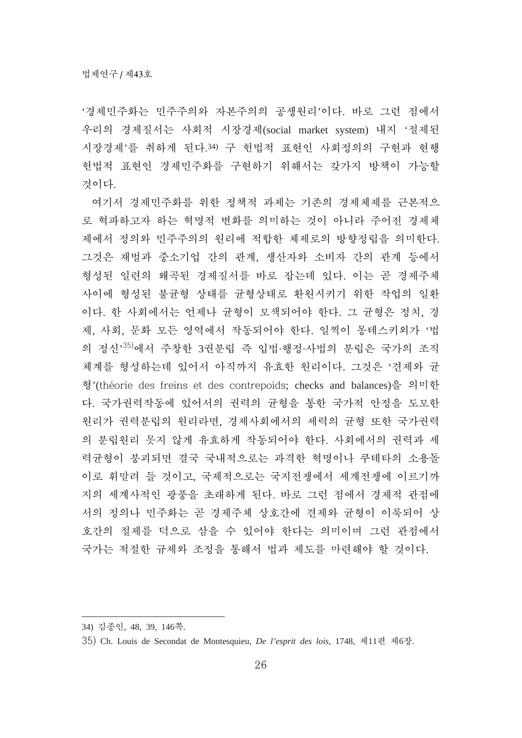'경제민주화는 민주주의와 자본주의의 공생원리'이다. 바로 그런 점에서 우리의 경제질서는 사회적 시장경제(social market system) 내지 '절제된 시장경제'를 취하게 된다.34) 구 헌법적 표현인 사회정의의 구현과 현행 헌법적 표현인 경제민주화를 구현하기 위해서는 갖가지 방책이 가능할 것이다.

여기서 경제민주화를 위한 정책적 과제는 기존의 경제체제를 근본적으 로 혁파하고자 하는 혁명적 변화를 의미하는 것이 아니라 주어진 경제체 제에서 정의와 민주주의의 원리에 적합한 체제로의 방향정립을 의미한다. 그것은 재벌과 중소기업 간의 관계, 생산자와 소비자 간의 관계 등에서 형성된 일련의 왜곡된 경제질서를 바로 잡는데 있다. 이는 곧 경제주체 사이에 형성된 불균형 상태를 균형상태로 환원시키기 위한 작업의 일환 이다. 한 사회에서는 언제나 균형이 모색되어야 한다. 그 균형은 정치, 경 제, 사회, 문화 모든 영역에서 작동되어야 한다. 일찍이 몽테스키외가 '법 의 정신<sup>,35)</sup>에서 주창한 3권분립 즉 입법·행정·사법의 분립은 국가의 조직 체계를 형성하는데 있어서 아직까지 유효한 원리이다. 그것은 '견제와 균 형'(théorie des freins et des contrepoids; checks and balances)을 의미한 다. 국가권력작동에 있어서의 권력의 균형을 통한 국가적 안정을 도모한 원리가 권력분립의 원리라면, 경제사회에서의 세력의 균형 또한 국가권력 의 부립원리 못지 않게 유효하게 작동되어야 한다. 사회에서의 권력과 세 력균형이 붕괴되면 결국 국내적으로는 과격한 혁명이나 쿠데타의 소용돌 이로 휘말려 들 것이고, 국제적으로는 국지전쟁에서 세계전쟁에 이르기까 지의 세계사적인 광풍을 초래하게 된다. 바로 그런 점에서 경제적 관점에 서의 정의나 민주화는 곧 경제주체 상호간에 견제와 균형이 이룩되어 상 호간의 절제를 덕으로 삼을 수 있어야 한다는 의미이며 그런 관점에서 국가는 적절한 규제와 조정을 통해서 법과 제도를 마련해야 할 것이다.

<sup>34)</sup> 김종인, 48, 39, 146쪽.

<sup>35)</sup> Ch. Louis de Secondat de Montesquieu, *De l'esprit des lois*, 1748, 제11편 제6장.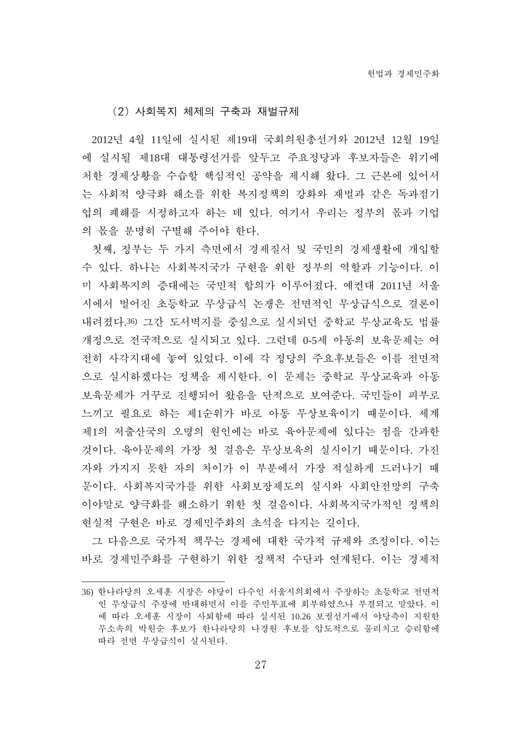(2) 사회복지 체제의 구축과 재벌규제

2012년 4월 11일에 실시된 제19대 국회의원총선거와 2012년 12월 19일 에 실시될 제18대 대통령선거를 앞두고 주요정당과 후보자들은 위기에 처한 경제상황을 수습할 핵심적인 공약을 제시해 왔다. 그 근본에 있어서 는 사회적 양극화 해소를 위한 복지정책의 강화와 재벌과 같은 독과점기 업의 폐해를 시정하고자 하는 데 있다. 여기서 우리는 정부의 몫과 기업 의 몫을 분명히 구별해 주어야 한다.

첫째, 정부는 두 가지 측면에서 경제질서 및 국민의 경제생활에 개입할 수 있다. 하나는 사회복지국가 구현을 위한 정부의 역할과 기능이다. 이 미 사회복지의 증대에는 국민적 합의가 이루어졌다. 예컨대 2011년 서울 시에서 벌어진 초등학교 무상급식 논쟁은 전면적인 무상급식으로 결론이 내려졌다.36) 그간 도서벽지를 중심으로 실시되던 중학교 무상교육도 법률 개정으로 전국적으로 실시되고 있다. 그런데 0-5세 아동의 보육문제는 여 전히 사각지대에 놓여 있었다. 이에 각 정당의 주요후보들은 이를 전면적 으로 실시하겠다는 정책을 제시한다. 이 문제는 중학교 무상교육과 아동 보육문제가 거꾸로 진행되어 왔음을 단적으로 보여준다. 국민들이 피부로 느끼고 필요로 하는 제1순위가 바로 아동 무상보육이기 때문이다. 세계 제1의 저출산국의 오명의 원인에는 바로 육아문제에 있다는 점을 간과한 것이다. 육아문제의 가장 첫 걸음은 무상보육의 실시이기 때문이다. 가진 자와 가지지 못한 자의 차이가 이 부분에서 가장 적실하게 드러나기 때 문이다. 사회복지국가를 위한 사회보장제도의 실시와 사회안전망의 구축 이야말로 양극화를 해소하기 위한 첫 걸음이다. 사회복지국가적인 정책의 현실적 구현은 바로 경제민주화의 초석을 다지는 길이다.

그 다음으로 국가적 책무는 경제에 대한 국가적 규제와 조정이다. 이는 바로 경제민주화를 구현하기 위한 정책적 수단과 연계된다. 이는 경제적

<sup>36)</sup> 한나라당의 오세훈 시장은 야당이 다수인 서울시의회에서 주장하는 초등학교 전면적 인 무상급식 주장에 반대하면서 이를 주민투표에 회부하였으나 부결되고 말았다. 이 에 따라 오세훈 시장이 사퇴함에 따라 실시된 10.26 보궐선거에서 야당측이 지원한 무소속의 박원순 후보가 한나라당의 나경원 후보를 압도적으로 물리치고 승리함에 따라 전면 무상급식이 실시된다.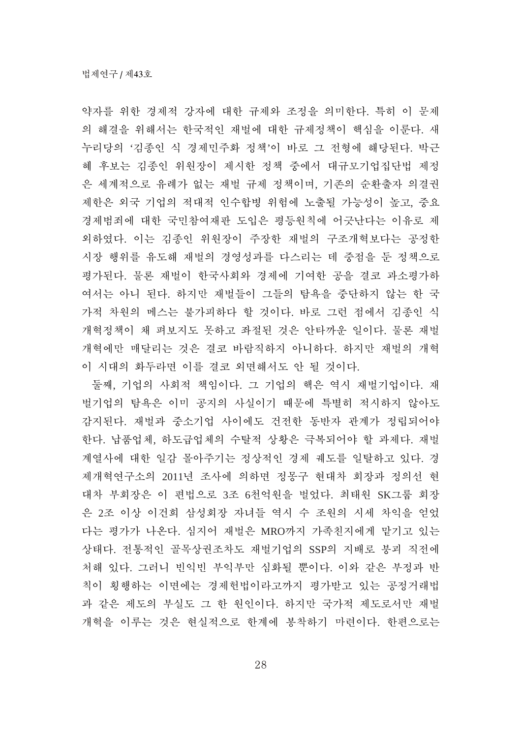약자를 위한 경제적 강자에 대한 규제와 조정을 의미한다. 특히 이 문제 의 해결을 위해서는 한국적인 재벌에 대한 규제정책이 핵심을 이룬다. 새 누리당의 '김종인 식 경제민주화 정책'이 바로 그 전형에 해당된다. 박근 혜 후보는 김종인 위원장이 제시한 정책 중에서 대규모기업집단법 제정 은 세계적으로 유례가 없는 재벌 규제 정책이며, 기존의 순환출자 의결권 제한은 외국 기업의 적대적 인수합병 위험에 노출될 가능성이 높고, 중요 경제범죄에 대한 국민참여재판 도입은 평등원칙에 어긋난다는 이유로 제 외하였다. 이는 김종인 위원장이 주장한 재벌의 구조개혁보다는 공정한 시장 행위를 유도해 재벌의 경영성과를 다스리는 데 중점을 둔 정책으로 평가된다. 물론 재벌이 한국사회와 경제에 기여한 공을 결코 과소평가하 여서는 아니 된다. 하지만 재벌들이 그들의 탐욕을 중단하지 않는 한 국 가적 차원의 메스는 불가피하다 할 것이다. 바로 그런 점에서 김종인 식 개혁정책이 채 펴보지도 못하고 좌절된 것은 안타까운 일이다. 물론 재벌 개혁에만 매달리는 것은 결코 바람직하지 아니하다. 하지만 재벌의 개혁 이 시대의 화두라면 이를 결코 외면해서도 안 될 것이다.

둘째, 기업의 사회적 책임이다. 그 기업의 핵은 역시 재벌기업이다. 재 벌기업의 탐욕은 이미 공지의 사실이기 때문에 특별히 적시하지 않아도 감지된다. 재벌과 중소기업 사이에도 건전한 동반자 관계가 정립되어야 한다. 납품업체. 하도급업체의 수탈적 상황은 극복되어야 할 과제다. 재벌 계열사에 대한 일감 몰아주기는 정상적인 경제 궤도를 일탈하고 있다. 경 제개혁연구소의 2011년 조사에 의하면 정몽구 현대차 회장과 정의선 현 대차 부회장은 이 편법으로 3조 6천억원을 벌었다. 최태원 SK그룹 회장 은 2조 이상 이건희 삼성회장 자녀들 역시 수 조워의 시세 차익을 얻었 다는 평가가 나온다. 심지어 재벌은 MRO까지 가족친지에게 맡기고 있는 상태다. 전통적인 골목상권조차도 재벌기업의 SSP의 지배로 붕괴 직전에 처해 있다. 그러니 빈익빈 부익부만 심화될 뿐이다. 이와 같은 부정과 반 칙이 횡행하는 이면에는 경제헌법이라고까지 평가받고 있는 공정거래법 과 같은 제도의 부실도 그 한 원인이다. 하지만 국가적 제도로서만 재벌 개혁을 이루는 것은 현실적으로 한계에 봉착하기 마련이다. 한편으로는

28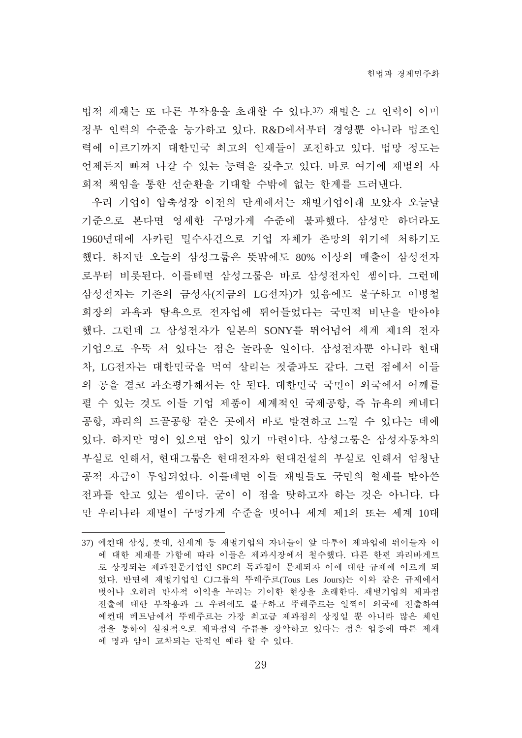법적 제재는 또 다른 부작용을 초래할 수 있다.37) 재벌은 그 인력이 이미 정부 인력의 수준을 능가하고 있다. R&D에서부터 경영뿐 아니라 법조인 력에 이르기까지 대한민국 최고의 인재들이 포진하고 있다. 법망 정도는 언제든지 빠져 나갈 수 있는 능력을 갖추고 있다. 바로 여기에 재벌의 사 회적 책임을 통한 선순환을 기대할 수밖에 없는 한계를 드러낸다.

우리 기업이 압축성장 이전의 단계에서는 재벌기업이래 보았자 오늘날 기준으로 본다면 영세한 구멍가게 수준에 불과했다. 삼성만 하더라도 1960년대에 사카린 밀수사건으로 기업 자체가 존망의 위기에 처하기도 했다. 하지만 오늘의 삼성그룹은 뜻밖에도 80% 이상의 매출이 삼성전자 로부터 비롯된다. 이를테면 삼성그룹은 바로 삼성전자인 셈이다. 그런데 삼성전자는 기존의 금성사(지금의 LG전자)가 있음에도 불구하고 이병철 회장의 과욕과 탐욕으로 저자업에 뛰어들었다는 국민적 비난을 받아야 했다. 그런데 그 삼성전자가 일본의 SONY를 뛰어넘어 세계 제1의 전자 기업으로 우뚝 서 있다는 점은 놀라운 일이다. 삼성전자뿐 아니라 현대 차, LG전자는 대한민국을 먹여 살리는 젓줄과도 같다. 그런 점에서 이들 의 공을 결코 과소평가해서는 안 된다. 대한민국 국민이 외국에서 어깨를 펄 수 있는 것도 이들 기업 제품이 세계적인 국제공항, 즉 뉴욕의 케네디 공항, 파리의 드골공항 같은 곳에서 바로 발견하고 느낄 수 있다는 데에 있다. 하지만 명이 있으면 암이 있기 마련이다. 삼성그룹은 삼성자동차의 부실로 인해서, 현대그룹은 현대전자와 현대건설의 부실로 인해서 엄청난 공적 자금이 투입되었다. 이를테면 이들 재벌들도 국민의 혈세를 받아쓴 전과를 안고 있는 셈이다. 굳이 이 점을 탓하고자 하는 것은 아니다. 다 만 우리나라 재벌이 구멍가게 수주을 벗어나 세계 제1의 또는 세계 10대

<sup>37)</sup> 예컨대 삼성, 롯데, 신세계 등 재벌기업의 자녀들이 앞 다투어 제과업에 뛰어들자 이 에 대한 제재를 가함에 따라 이들은 제과시장에서 철수했다. 다른 한편 파리바게트 로 상징되는 제과전문기업인 SPC의 독과점이 문제되자 이에 대한 규제에 이르게 되 었다. 반면에 재벌기업인 CJ그룹의 뚜레주르(Tous Les Jours)는 이와 같은 규제에서 벗어나 오히려 반사적 이익을 누리는 기이한 현상을 초래한다. 재벌기업의 제과점 진출에 대한 부작용과 그 우려에도 불구하고 뚜레주르는 일찍이 외국에 진출하여 예컨대 베트남에서 뚜레주르는 가장 최고급 제과점의 상징일 뿐 아니라 많은 체인 점을 통하여 실질적으로 제과점의 주류를 장악하고 있다는 점은 업종에 따른 제재 에 명과 암이 교차되는 단적인 예라 할 수 있다.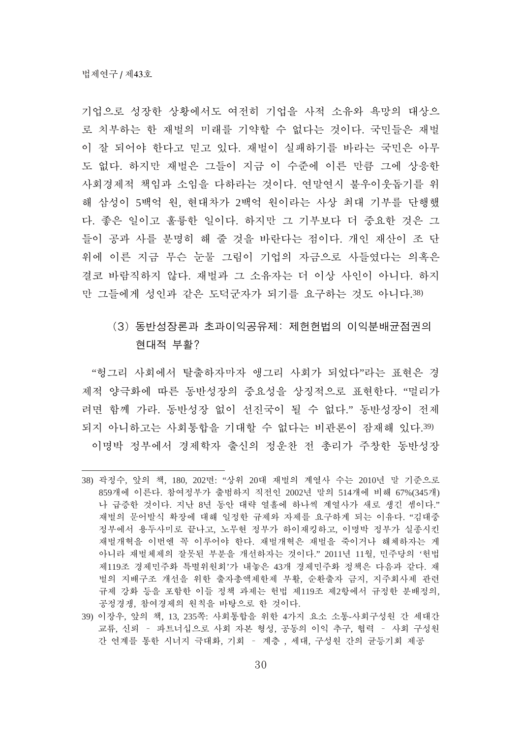기업으로 성장한 상황에서도 여전히 기업을 사적 소유와 욕망의 대상으 로 치부하는 한 재벌의 미래를 기약할 수 없다는 것이다. 국민들은 재벌 이 잘 되어야 한다고 믿고 있다. 재벌이 실패하기를 바라는 국민은 아무 도 없다. 하지만 재벌은 그들이 지금 이 수준에 이른 만큼 그에 상응한 사회경제적 책임과 소임을 다하라는 것이다. 연말연시 불우이웃돕기를 위 해 삼성이 5백억 원, 현대차가 2백억 원이라는 사상 최대 기부를 단행했 다. 좋은 일이고 훌륭한 일이다. 하지만 그 기부보다 더 중요한 것은 그 들이 공과 사를 분명히 해 줄 것을 바란다는 점이다. 개인 재산이 조 단 위에 이른 지금 무슨 눈물 그림이 기업의 자금으로 사들였다는 의혹은 결코 바람직하지 않다. 재벌과 그 소유자는 더 이상 사인이 아니다. 하지 만 그들에게 성인과 같은 도덕군자가 되기를 요구하는 것도 아니다.38)

# (3) 동반성장론과 초과이익공유제: 제헌헌법의 이익분배균점권의 현대적 부활?

"헝그리 사회에서 탈출하자마자 앵그리 사회가 되었다"라는 표현은 경 제적 양극화에 따른 동반성장의 중요성을 상징적으로 표현한다. "멀리가 려면 함께 가라. 동반성장 없이 선진국이 될 수 없다." 동반성장이 전제 되지 아니하고는 사회통합을 기대할 수 없다는 비과론이 잠재해 있다.39) 이명박 정부에서 경제학자 출신의 정우찬 전 총리가 주창한 동반성장

<sup>38)</sup> 곽정수, 앞의 책, 180, 202면: "상위 20대 재벌의 계열사 수는 2010년 말 기준으로 859개에 이른다. 참여정부가 출범하지 직전인 2002년 말의 514개에 비해 67%(345개) 나 급증한 것이다. 지난 8년 동안 대략 열흘에 하나씩 계열사가 새로 생긴 셈이다." 재벌의 문어발식 확장에 대해 일정한 규제와 자제를 요구하게 되는 이유다. "김대중 정부에서 용두사미로 끝나고, 노무현 정부가 하이재킹하고, 이명박 정부가 실종시킨 재벌개혁을 이번엔 꼭 이루어야 한다. 재벌개혁은 재벌을 죽이거나 해체하자는 게 아니라 재벌체제의 잘못된 부분을 개선하자는 것이다." 2011년 11월, 민주당의 '헌법 제119조 경제민주화 특별위원회'가 내놓은 43개 경제민주화 정책은 다음과 같다. 재 벌의 지배구조 개선을 위한 출자총액제한제 부활, 순환출자 금지, 지주회사제 관련 규제 강화 등을 포함한 이들 정책 과제는 헌법 제119조 제2항에서 규정한 분배정의, 공정경쟁, 참여경제의 원칙을 바탕으로 한 것이다.

<sup>39)</sup> 이장우, 앞의 책, 13, 235쪽: 사회통합을 위한 4가지 요소 소통-사회구성원 간 세대간 교류, 신뢰 - 파트너십으로 사회 자본 형성, 공동의 이익 추구, 협력 - 사회 구성원 간 연계를 통한 시너지 극대화, 기회 – 계층, 세대, 구성원 간의 균등기회 제공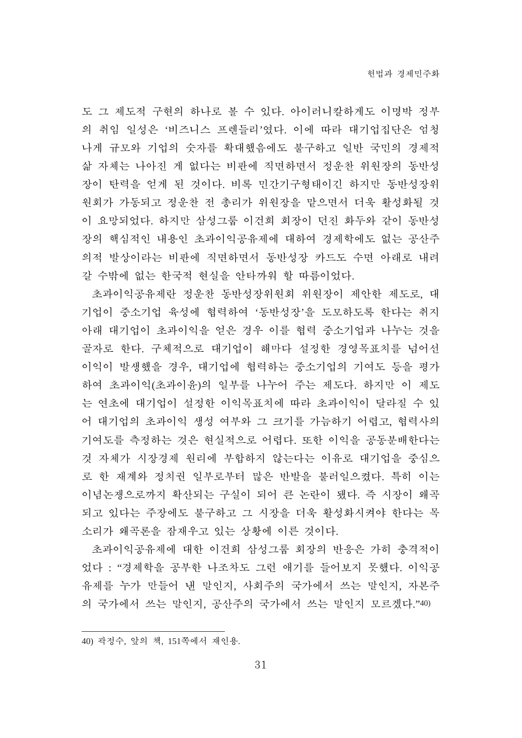도 그 제도적 구현의 하나로 볼 수 있다. 아이러니칼하게도 이명박 정부 의 취임 일성은 '비즈니스 프렌들리'였다. 이에 따라 대기업집단은 엄청 나게 규모와 기업의 숫자를 확대했음에도 불구하고 일반 국민의 경제적 삶 자체는 나아진 게 없다는 비판에 직면하면서 정운찬 위원장의 동반성 장이 탄력을 얻게 된 것이다. 비록 민간기구형태이긴 하지만 동반성장위 원회가 가동되고 정운찬 전 총리가 위원장을 맡으면서 더욱 활성화될 것 이 요망되었다. 하지만 삼성그룹 이건희 회장이 던진 화두와 같이 동반성 장의 핵심적인 내용인 초과이익공유제에 대하여 경제학에도 없는 공산주 의적 발상이라는 비판에 직면하면서 동반성장 카드도 수면 아래로 내려 갈 수밖에 없는 한국적 현실을 안타까워 할 따름이었다.

초과이익공유제란 정운찬 동반성장위원회 위원장이 제안한 제도로, 대 기업이 중소기업 육성에 협력하여 '동반성장'을 도모하도록 한다는 취지 아래 대기업이 초과이익을 얻은 경우 이를 협력 중소기업과 나누는 것을 골자로 한다. 구체적으로 대기업이 해마다 설정한 경영목표치를 넘어선 이익이 발생했을 경우, 대기업에 협력하는 중소기업의 기여도 등을 평가 하여 초과이익(초과이윤)의 일부를 나누어 주는 제도다. 하지만 이 제도 는 연초에 대기업이 설정한 이익목표치에 따라 초과이익이 달라질 수 있 어 대기업의 초과이익 생성 여부와 그 크기를 가늠하기 어렵고, 협력사의 기여도를 측정하는 것은 현실적으로 어렵다. 또한 이익을 공동부배한다는 것 자체가 시장경제 원리에 부합하지 않는다는 이유로 대기업을 중심으 로 한 재계와 정치권 일부로부터 많은 반발을 불러일으켰다. 특히 이는 이념논쟁으로까지 확산되는 구실이 되어 큰 논란이 됐다. 즉 시장이 왜곡 되고 있다는 주장에도 불구하고 그 시장을 더욱 활성화시켜야 한다는 목 소리가 왜곡론을 잠재우고 있는 상황에 이른 것이다.

초과이익공유제에 대한 이건희 삼성그룹 회장의 반응은 가히 충격적이 었다 : "경제학을 공부한 나조차도 그런 애기를 들어보지 못했다. 이익공 유제를 누가 만들어 낸 말인지, 사회주의 국가에서 쓰는 말인지, 자본주 의 국가에서 쓰는 말인지, 공산주의 국가에서 쓰는 말인지 모르겠다."40)

<sup>40)</sup> 곽정수, 앞의 책, 151쪽에서 재인용.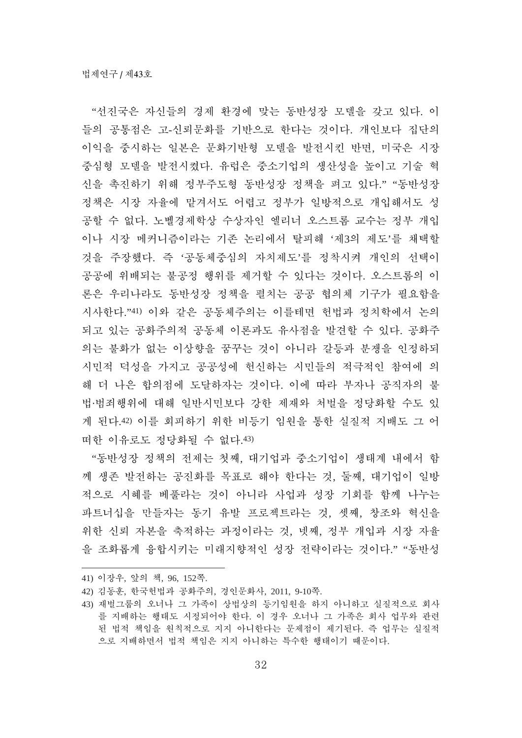"선진국은 자신들의 경제 화경에 맞는 동반성장 모델을 갖고 있다. 이 들의 공통점은 고-신뢰문화를 기반으로 한다는 것이다. 개인보다 집단의 이익을 중시하는 일본은 문화기반형 모델을 발전시킨 반면, 미국은 시장 중심형 모델을 발전시켰다. 유럽은 중소기업의 생산성을 높이고 기술 혁 신을 촉진하기 위해 정부주도형 동반성장 정책을 펴고 있다." "동반성장 정책은 시장 자율에 맡겨서도 어렵고 정부가 일방적으로 개입해서도 성 공할 수 없다. 노벨경제학상 수상자인 엘리너 오스트롬 교수는 정부 개입 이나 시장 메커니즘이라는 기존 논리에서 탈피해 '제3의 제도'를 채택할 것을 주장했다. 즉 '공동체중심의 자치제도'를 정착시켜 개인의 선택이 공공에 위배되는 불공정 행위를 제거할 수 있다는 것이다. 오스트롬의 이 론은 우리나라도 동반성장 정책을 펼치는 공공 협의체 기구가 필요함을 지사한다."41) 이와 같은 공동체주의는 이를테면 헌법과 정치학에서 논의 되고 있는 공화주의적 공동체 이론과도 유사점을 발견할 수 있다. 공화주 의는 불화가 없는 이상향을 꿈꾸는 것이 아니라 갈등과 분쟁을 인정하되 시민적 덕성을 가지고 공공성에 헌신하는 시민들의 적극적인 참여에 의 해 더 나은 합의점에 도달하자는 것이다. 이에 따라 부자나 공직자의 불 법·범죄행위에 대해 일반시민보다 강한 제재와 처벌을 정당화할 수도 있 게 된다.42) 이를 회피하기 위한 비등기 임원을 통한 실질적 지배도 그 어 떠한 이유로도 정당화될 수 없다.43)

"동반성장 정책의 전제는 첫째, 대기업과 중소기업이 생태계 내에서 함 께 생존 발전하는 공진화를 목표로 해야 한다는 것, 둘째, 대기업이 일방 적으로 시혜를 베풀라는 것이 아니라 사업과 성장 기회를 함께 나누는 파트너십을 만들자는 동기 유발 프로젝트라는 것. 셋째. 창조와 혁신을 위한 신뢰 자본을 축적하는 과정이라는 것, 넷째, 정부 개입과 시장 자율 을 조화롭게 융합시키는 미래지향적인 성장 전략이라는 것이다." "동반성

- 41) 이장우, 앞의 책, 96, 152쪽.
- 42) 김동훈, 한국헌법과 공화주의, 경인문화사, 2011, 9-10쪽.

<sup>43)</sup> 재벌그룹의 오너나 그 가족이 상법상의 등기임원을 하지 아니하고 실질적으로 회사 를 지배하는 행태도 시정되어야 한다. 이 경우 오너나 그 가족은 회사 업무와 관련 된 법적 책임을 원칙적으로 지지 아니한다는 문제점이 제기된다. 즉 업무는 실질적 으로 지배하면서 법적 책임은 지지 아니하는 특수한 행태이기 때문이다.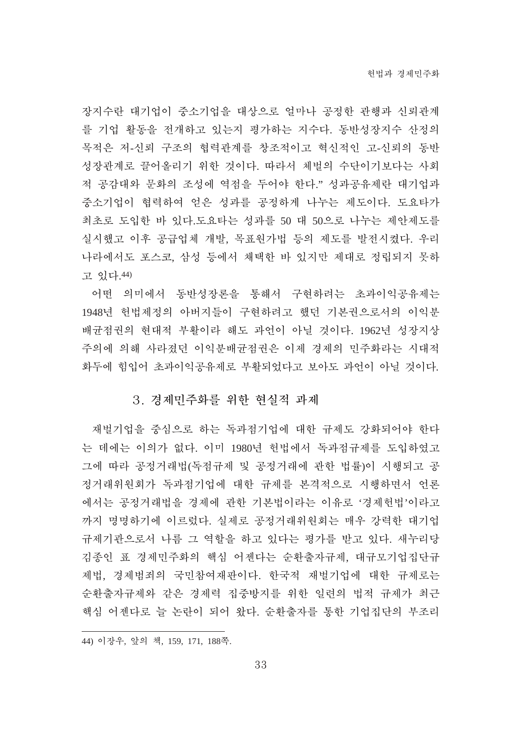장지수란 대기업이 중소기업을 대상으로 얼마나 공정한 관행과 신뢰관계 를 기업 활동을 전개하고 있는지 평가하는 지수다. 동반성장지수 산정의 목적은 저-신뢰 구조의 협력관계를 창조적이고 혁신적인 고-신뢰의 동반 성장관계로 끌어올리기 위한 것이다. 따라서 체벌의 수단이기보다는 사회 적 공감대와 문화의 조성에 역점을 두어야 한다." 성과공유제란 대기업과 중소기업이 협력하여 얻은 성과를 공정하게 나누는 제도이다. 도요타가 최초로 도입한 바 있다.도요타는 성과를 50 대 50으로 나누는 제안제도를 실시했고 이후 공급업체 개발, 목표원가법 등의 제도를 발전시켰다. 우리 나라에서도 포스코, 삼성 등에서 채택한 바 있지만 제대로 정립되지 못하 고 있다.44)

어떤 의미에서 동반성장론을 통해서 구현하려는 초과이익공유제는 1948년 헌법제정의 아버지들이 구현하려고 했던 기본권으로서의 이익분 배균점권의 현대적 부활이라 해도 과언이 아닐 것이다. 1962년 성장지상 주의에 의해 사라졌던 이익부배균점권은 이제 경제의 민주화라는 시대적 화두에 힊입어 초과이익공유제로 부활되었다고 보아도 과언이 아닐 것이다.

#### 3. 경제민주화를 위한 현실적 과제

재벌기업을 중심으로 하는 독과점기업에 대한 규제도 강화되어야 한다 는 데에는 이의가 없다. 이미 1980년 헌법에서 독과점규제를 도입하였고 그에 따라 공정거래서 및 공정거래에 관한 법률)이 시행되고 공 정거래위원회가 독과점기업에 대한 규제를 본격적으로 시행하면서 언론 에서는 공정거래법을 경제에 관한 기본법이라는 이유로 '경제헌법'이라고 까지 명명하기에 이르렀다. 실제로 공정거래위원회는 매우 강력한 대기업 규제기관으로서 나름 그 역할을 하고 있다는 평가를 받고 있다. 새누리당 김종인 표 경제민주화의 핵심 어젠다는 순환출자규제, 대규모기업집단규 제법, 경제범죄의 국민참여재판이다. 한국적 재벌기업에 대한 규제로는 순환출자규제와 같은 경제력 집중방지를 위한 일련의 법적 규제가 최근 핵심 어제다로 늘 논란이 되어 왔다. 순화출자를 통한 기업집단의 부조리

<sup>44)</sup> 이장우, 앞의 책, 159, 171, 188쪽.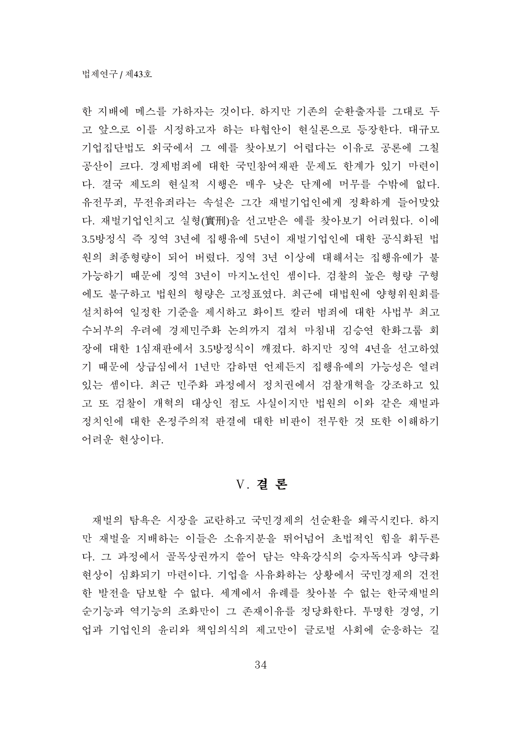한 지배에 메스를 가하자는 것이다. 하지만 기존의 순화출자를 그대로 두 고 앞으로 이를 시정하고자 하는 타협안이 현실론으로 등장한다. 대규모 기업집단법도 외국에서 그 예를 찾아보기 어렵다는 이유로 공론에 그칠 공산이 크다. 경제범죄에 대한 국민참여재판 문제도 한계가 있기 마련이 다. 결국 제도의 현실적 시행은 매우 낮은 단계에 머무를 수밖에 없다. 유전무죄, 무전유죄라는 속설은 그간 재벌기업인에게 정확하게 들어맞았 다. 재벌기업인치고 실형(實刑)을 선고받은 예를 찾아보기 어려웠다. 이에 3.5방정식 즉 징역 3년에 집행유예 5년이 재벌기업인에 대한 공식화된 법 원의 최종형량이 되어 버렸다. 징역 3년 이상에 대해서는 집행유예가 불 가능하기 때문에 징역 3년이 마지노선인 셈이다. 검찰의 높은 형량 구형 에도 불구하고 법원의 형량은 고정표였다. 최근에 대법원에 양형위원회를 설치하여 일정한 기준을 제시하고 화이트 칼러 범죄에 대한 사법부 최고 수뇌부의 우려에 경제민주화 논의까지 겹쳐 마침내 김승연 한화그룹 회 장에 대한 1심재판에서 3.5방정식이 깨졌다. 하지만 징역 4년을 선고하였 기 때문에 상급심에서 1년만 감하면 언제든지 집행유예의 가능성은 열려 있는 셈이다. 최근 민주화 과정에서 정치권에서 검찰개혁을 강조하고 있 고 또 검찰이 개혁의 대상인 점도 사실이지만 법원의 이와 같은 재벌과 정치인에 대한 온정주의적 판결에 대한 비판이 전무한 것 또한 이해하기 어려운 현상이다.

#### V. 결론

재벌의 탐욕은 시장을 교란하고 국민경제의 선순환을 왜곡시킨다. 하지 만 재벌을 지배하는 이들은 소유지분을 뛰어넘어 초법적인 힘을 휘두른 다. 그 과정에서 골목상권까지 쓸어 담는 약육강식의 승자독식과 양극화 현상이 심화되기 마련이다. 기업을 사유화하는 상황에서 국민경제의 건전 한 발전을 담보할 수 없다. 세계에서 유례를 찾아볼 수 없는 한국재벌의 순기능과 역기능의 조화만이 그 존재이유를 정당화한다. 투명한 경영, 기 업과 기업이의 유리와 책임의식의 제고만이 글로벌 사회에 순응하는 길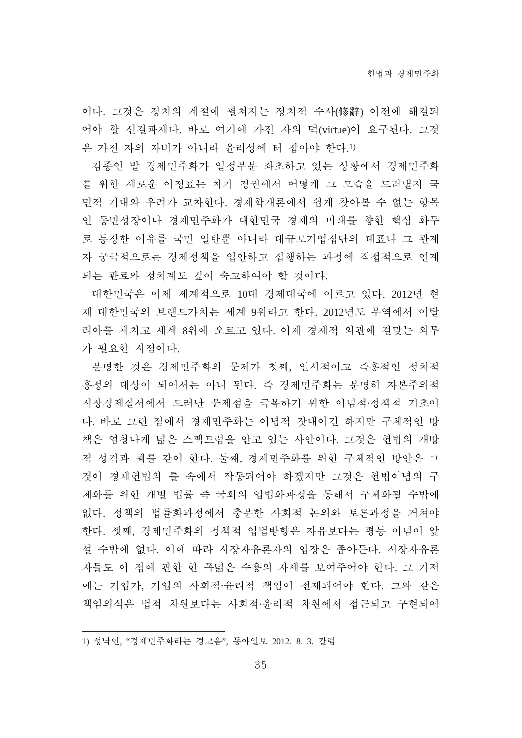이다. 그것은 정치의 계절에 펼쳐지는 정치적 수사(修辭) 이전에 해결되 어야 할 선결과제다. 바로 여기에 가진 자의 덕(virtue)이 요구된다. 그것 은 가진 자의 자비가 아니라 윤리성에 터 잡아야 한다.1)

김종인 발 경제민주화가 일정부분 좌초하고 있는 상황에서 경제민주화 를 위한 새로운 이정표는 차기 정권에서 어떻게 그 모습을 드러낼지 국 민적 기대와 우려가 교차한다. 경제학개론에서 쉽게 찾아볼 수 없는 항목 인 동반성장이나 경제민주화가 대한민국 경제의 미래를 향한 핵심 화두 로 등장한 이유를 국민 일반뿐 아니라 대규모기업집단의 대표나 그 관계 자 궁극적으로는 경제정책을 입안하고 집행하는 과정에 직접적으로 연계 되는 관료와 정치계도 깊이 숙고하여야 할 것이다.

대한민국은 이제 세계적으로 10대 경제대국에 이르고 있다. 2012년 현 재 대한민국의 브랜드가치는 세계 9위라고 한다. 2012년도 무역에서 이탈 리아를 제치고 세계 8위에 오르고 있다. 이제 경제적 외관에 걸맞는 외투 가 필요한 시점이다.

분명한 것은 경제민주화의 문제가 첫째, 일시적이고 즉흥적인 정치적 흥정의 대상이 되어서는 아니 된다. 즉 경제민주화는 분명히 자본주의적 시장경제질서에서 드러난 문제점을 극복하기 위한 이념적 정책적 기초이 다. 바로 그런 점에서 경제민주화는 이념적 잣대이긴 하지만 구체적인 방 책은 엄청나게 넓은 스펙트럼을 안고 있는 사안이다. 그것은 헌법의 개방 적 성격과 궤를 같이 한다. 둘째, 경제민주화를 위한 구체적인 방안은 그 것이 경제헌법의 틀 속에서 작동되어야 하겠지만 그것은 헌법이념의 구 체화를 위한 개별 법률 즉 국회의 입법화과정을 통해서 구체화될 수밖에 없다. 정책의 법률화과정에서 충분한 사회적 논의와 토론과정을 거쳐야 한다. 셋째, 경제민주화의 정책적 입법방향은 자유보다는 평등 이념이 앞 설 수밖에 없다. 이에 따라 시장자유론자의 입장은 좁아든다. 시장자유론 자들도 이 점에 관한 한 폭넓은 수용의 자세를 보여주어야 한다. 그 기저 에는 기업가, 기업의 사회적 윤리적 책임이 전제되어야 한다. 그와 같은 책임의식은 법적 차원보다는 사회적 유리적 차원에서 접근되고 구현되어

<sup>1)</sup> 성낙인, "경제민주화라는 경고음", 동아일보 2012. 8. 3. 칼럼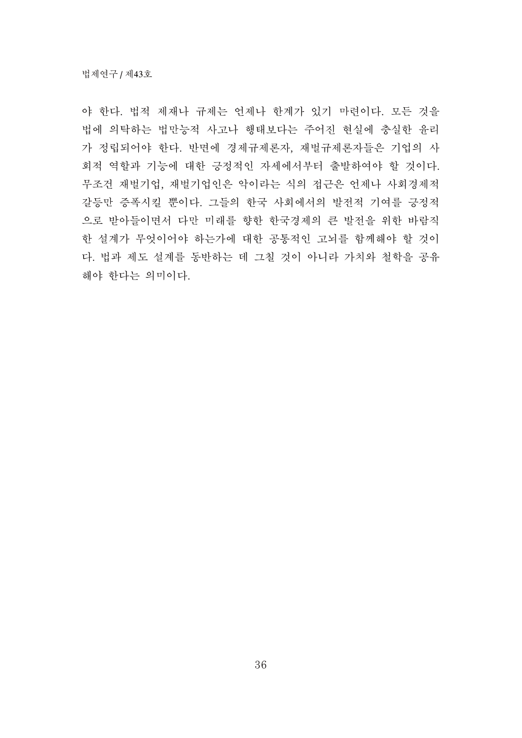야 한다. 법적 제재나 규제는 언제나 한계가 있기 마련이다. 모든 것을 법에 의탁하는 법만능적 사고나 행태보다는 주어진 현실에 충실한 유리 가 정립되어야 한다. 반면에 경제규제론자, 재벌규제론자들은 기업의 사 회적 역할과 기능에 대한 긍정적인 자세에서부터 출발하여야 할 것이다. 무조건 재벌기업, 재벌기업인은 악이라는 식의 접근은 언제나 사회경제적 갈등만 증폭시킬 뿐이다. 그들의 한국 사회에서의 발전적 기여를 긍정적 으로 받아들이면서 다만 미래를 향한 한국경제의 큰 발전을 위한 바람직 한 설계가 무엇이어야 하는가에 대한 공통적인 고뇌를 함께해야 할 것이 다. 법과 제도 설계를 동반하는 데 그칠 것이 아니라 가치와 철학을 공유 해야 한다는 의미이다.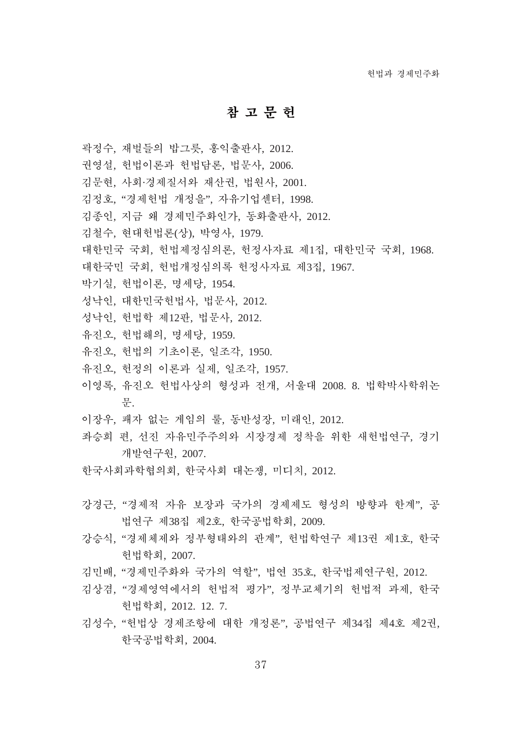## 참고문헌

- 곽정수, 재벌들의 밥그릇, 홍익출판사, 2012.
- 권영설, 헌법이론과 헌법담론, 법문사, 2006.
- 김문현, 사회·경제질서와 재산권, 법원사, 2001.
- 김정호, "경제헌법 개정을", 자유기업센터, 1998.
- 김종인, 지금 왜 경제민주화인가, 동화출판사, 2012.
- 김철수, 현대헌법론(상), 박영사, 1979.
- 대한민국 국회, 헌법제정심의론, 헌정사자료 제1집, 대한민국 국회, 1968.
- 대한국민 국회, 헌법개정심의록 헌정사자료 제3집, 1967.
- 박기실, 헌법이론, 명세당, 1954.
- 성낙인, 대한민국헌법사, 법문사, 2012.
- 성낙인, 헌법학 제12판, 법문사, 2012.
- 유진오, 헌법해의, 명세당, 1959.
- 유진오, 헌법의 기초이론, 일조각, 1950.
- 유진오, 헌정의 이론과 실제, 일조각, 1957.
- 이영록, 유진오 헌법사상의 형성과 전개, 서울대 2008. 8. 법학박사학위논 椥.
- 이장우, 패자 없는 게임의 룰, 동반성장, 미래인, 2012.
- 좌승희 편, 선진 자유민주주의와 시장경제 정착을 위한 새헌법연구, 경기 개발연구원, 2007.
- 한국사회과학협의회, 한국사회 대논쟁, 미디치, 2012.
- 강경근, "경제적 자유 보장과 국가의 경제제도 형성의 방향과 한계", 공 법연구 제38집 제2호, 한국공법학회, 2009.
- 강승식, "경제체제와 정부형태와의 관계", 헌법학연구 제13권 제1호. 한국 헌법학회, 2007.
- 김민배, "경제민주화와 국가의 역할", 법역 35호, 한국법제여구원, 2012.
- 김상겸, "경제영역에서의 헌법적 평가", 정부교체기의 헌법적 과제, 한국 헌법학회, 2012. 12. 7.
- 김성수, "헌법상 경제조항에 대한 개정론", 공법연구 제34집 제4호 제2권, 한국공법학회, 2004.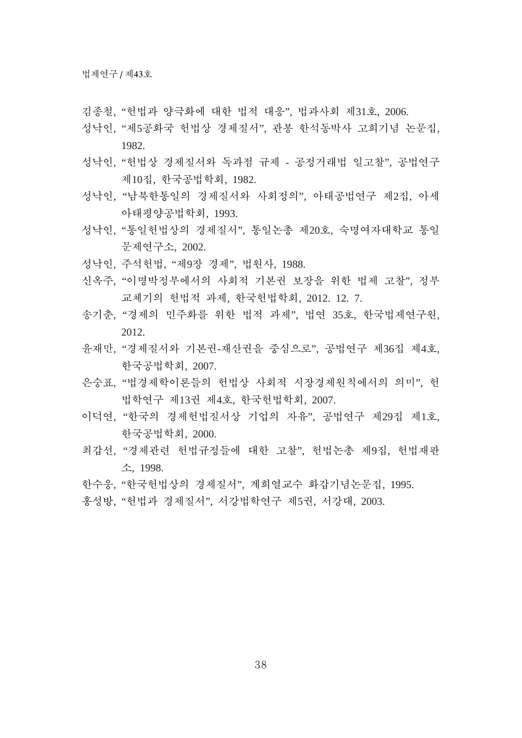- 김종철, "헌법과 양극화에 대한 법적 대응", 법과사회 제31호, 2006.
- 성낙인, "제5공화국 헌법상 경제질서", 관봉 한석동박사 고희기념 논문집, 1982.
- 성낙인, "헌법상 경제질서와 독과점 규제 공정거래법 일고찰", 공법연구 제10집, 한국공법학회, 1982.
- 성낙인, "남북한통일의 경제질서와 사회정의", 아태공법여구 제2집, 아세 아태평양공법학회, 1993.
- 성낙인, "통일헌법상의 경제질서", 통일논총 제20호, 숙명여자대학교 통일 椥瘉珝孙潹, 2002.
- 성낙인, 주석헌법, "제9장 경제", 법원사, 1988.
- 신옥주, "이명박정부에서의 사회적 기본권 보장을 위한 법제 고찰", 정부 교체기의 헌법적 과제, 한국헌법학회, 2012. 12. 7.
- 송기춘, "경제의 민주화를 위한 법적 과제", 법연 35호, 한국법제연구원, 2012.
- 윤재만, "경제질서와 기본권-재산권을 중심으로", 공법연구 제36집 제4호, 한국공법학회. 2007.
- 은숭표. "법경제학이론들의 헌법상 사회적 시장경제원칙에서의 의미". 헌 법학여구 제13권 제4호, 한국헌법학회, 2007.
- 이덕연, "한국의 경제헌법질서상 기업의 자유", 공법연구 제29집 제1호, 한국공법학회, 2000.
- 최갑선, "경제관련 헌법규정들에 대한 고찰", 헌법논총 제9집, 헌법재파 潹, 1998.
- 한수웅, "한국헌법상의 경제질서", 계회열교수 화갑기념논문집, 1995.
- 홍성방, "헌법과 경제질서", 서강법학연구 제5권, 서강대, 2003.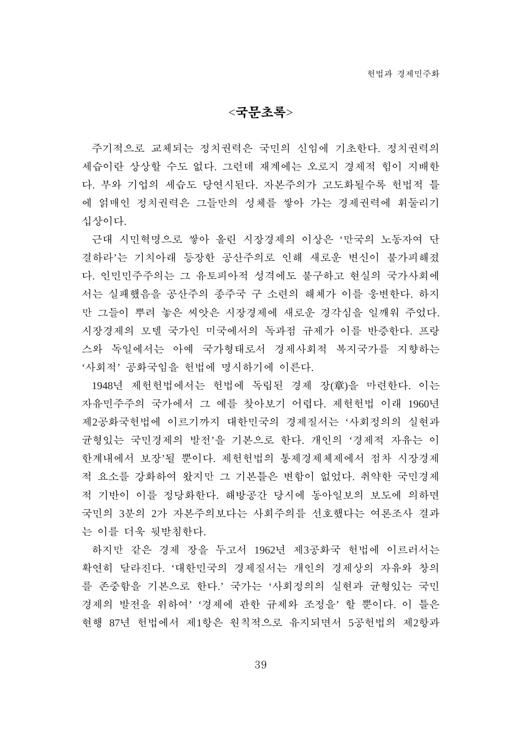$<$ 국무초록>

주기적으로 교체되는 정치권력은 국민의 신임에 기초한다. 정치권력의 세습이란 상상할 수도 없다. 그런데 재계에는 오로지 경제적 힘이 지배한 다. 부와 기업의 세습도 당연시된다. 자본주의가 고도화될수록 헌법적 틀 에 얽매인 정치권력은 그들만의 성체를 쌓아 가는 경제권력에 휘둘리기 십상이다.

근대 시민혁명으로 쌓아 올린 시장경제의 이상은 '만국의 노동자여 단 결하라'는 기치아래 등장한 공산주의로 인해 새로운 변신이 불가피해졌 다. 인민민주주의는 그 유토피아적 성격에도 불구하고 현실의 국가사회에 서는 실패했음을 공산주의 종주국 구 소련의 해체가 이를 웅변한다. 하지 만 그들이 뿌려 놓은 씨앗은 시장경제에 새로운 경각심을 일깨워 주었다. 시장경제의 모델 국가인 미국에서의 독과점 규제가 이를 반증한다. 프랑 스와 독일에서는 아예 국가형태로서 경제사회적 복지국가를 지향하는 '사회적' 공화국임을 헌법에 명시하기에 이른다.

1948년 제헌헌법에서는 헌법에 독립된 경제 장(章)을 마련한다. 이는 자유민주주의 국가에서 그 예를 찾아보기 어렵다. 제헌헌법 이래 1960년 제2공화국헌법에 이르기까지 대한민국의 경제질서는 '사회정의의 실현과 균형있는 국민경제의 발전'을 기본으로 한다. 개인의 '경제적 자유는 이 한계내에서 보장'될 뿐이다. 제헌헌법의 통제경제체제에서 점차 시장경제 적 요소를 강화하여 왔지만 그 기본틀은 변함이 없었다. 취약한 국민경제 적 기반이 이를 정당화한다. 해방공간 당시에 동아일보의 보도에 의하면 국민의 3부의 2가 자본주의보다는 사회주의를 선호했다는 여론조사 결과 는 이를 더욱 뒷받침한다.

하지만 같은 경제 장을 두고서 1962년 제3공화국 헌법에 이르러서는 확연히 달라진다. '대한민국의 경제질서는 개인의 경제상의 자유와 창의 를 존중함을 기본으로 한다.' 국가는 '사회정의의 실현과 균형있는 국민 경제의 발전을 위하여' '경제에 관한 규제와 조정을' 할 뿐이다. 이 틀은 현행 87년 헌법에서 제1항은 원칙적으로 유지되면서 5공헌법의 제2항과

39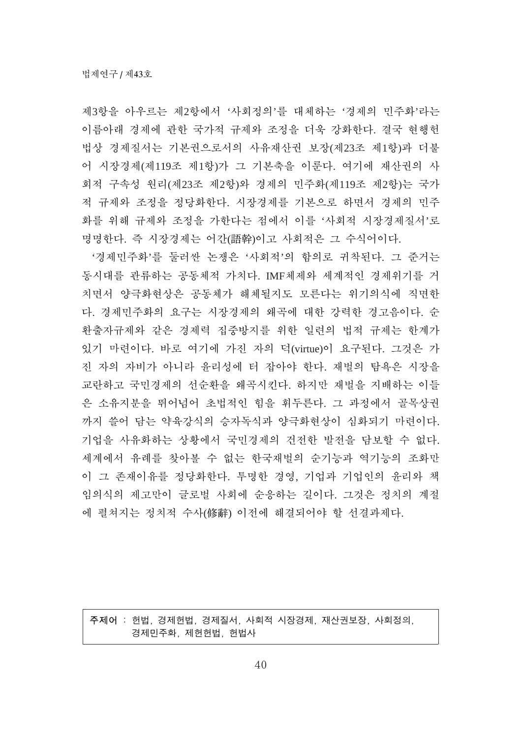제3항을 아우르는 제2항에서 '사회정의'를 대체하는 '경제의 민주화'라는 이름아래 경제에 관한 국가적 규제와 조정을 더욱 강화한다. 결국 현행헌 법상 경제질서는 기본권으로서의 사유재산권 보장(제23조 제1항)과 더불 어 시장경제(제119조 제1항)가 그 기본축을 이룬다. 여기에 재산권의 사 회적 구속성 원리(제23조 제2항)와 경제의 민주화(제119조 제2항)는 국가 적 규제와 조정을 정당화한다. 시장경제를 기본으로 하면서 경제의 민주 화를 위해 규제와 조정을 가한다는 점에서 이를 '사회적 시장경제질서'로 명명한다. 즉 시장경제는 어간(語幹)이고 사회적은 그 수식어이다.

'경제민주화'를 둘러싼 논쟁은 '사회적'의 함의로 귀착된다. 그 준거는 동시대를 관류하는 공동체적 가치다. IMF체제와 세계적인 경제위기를 거 치면서 양극화현상은 공동체가 해체될지도 모른다는 위기의식에 직면한 다. 경제민주화의 요구는 시장경제의 왜곡에 대한 강력한 경고음이다. 순 환출자규제와 같은 경제력 집중방지를 위한 일련의 법적 규제는 한계가 있기 마련이다. 바로 여기에 가진 자의 덕(virtue)이 요구된다. 그것은 가 진 자의 자비가 아니라 윤리성에 터 잡아야 한다. 재벌의 탐욕은 시장을 교란하고 국민경제의 선순환을 왜곡시킨다. 하지만 재벌을 지배하는 이들 은 소유지분을 뛰어넘어 초법적인 힘을 휘두른다. 그 과정에서 골목상권 까지 쓸어 담는 약육강식의 승자독식과 양극화현상이 심화되기 마련이다. 기업을 사유화하는 상황에서 국민경제의 건전한 발전을 담보할 수 없다. 세계에서 유례를 찾아볼 수 없는 한국재벌의 순기능과 역기능의 조화만 이 그 존재이유를 정당화한다. 투명한 경영, 기업과 기업인의 유리와 책 임의식의 제고만이 글로벌 사회에 순응하는 길이다. 그것은 정치의 계절 에 펼쳐지는 정치적 수사(修辭) 이전에 해결되어야 할 선결과제다.

주제어: 헌법, 경제헌법, 경제질서, 사회적 시장경제, 재산권보장, 사회정의, 경제민주화, 제헌헌법, 헌법사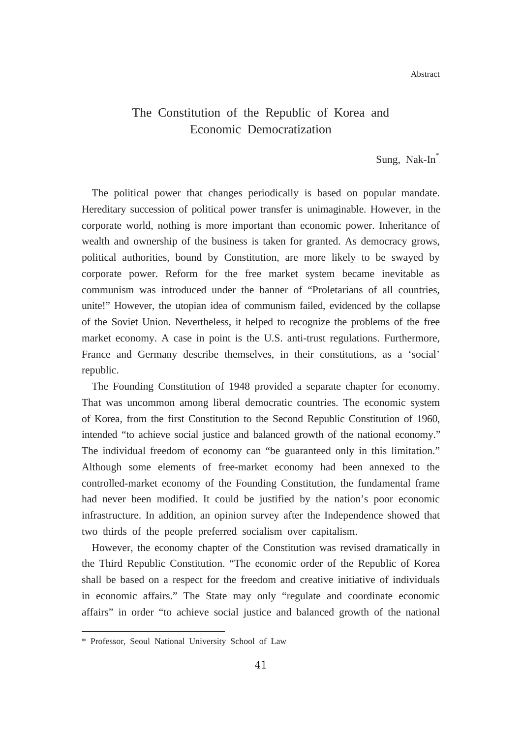Abstract

# The Constitution of the Republic of Korea and Economic Democratization

Sung, Nak-In<sup>\*</sup>

The political power that changes periodically is based on popular mandate. Hereditary succession of political power transfer is unimaginable. However, in the corporate world, nothing is more important than economic power. Inheritance of wealth and ownership of the business is taken for granted. As democracy grows, political authorities, bound by Constitution, are more likely to be swayed by corporate power. Reform for the free market system became inevitable as communism was introduced under the banner of "Proletarians of all countries, unite!" However, the utopian idea of communism failed, evidenced by the collapse of the Soviet Union. Nevertheless, it helped to recognize the problems of the free market economy. A case in point is the U.S. anti-trust regulations. Furthermore, France and Germany describe themselves, in their constitutions, as a 'social' republic.

The Founding Constitution of 1948 provided a separate chapter for economy. That was uncommon among liberal democratic countries. The economic system of Korea, from the first Constitution to the Second Republic Constitution of 1960, intended "to achieve social justice and balanced growth of the national economy." The individual freedom of economy can "be guaranteed only in this limitation." Although some elements of free-market economy had been annexed to the controlled-market economy of the Founding Constitution, the fundamental frame had never been modified. It could be justified by the nation's poor economic infrastructure. In addition, an opinion survey after the Independence showed that two thirds of the people preferred socialism over capitalism.

However, the economy chapter of the Constitution was revised dramatically in the Third Republic Constitution. "The economic order of the Republic of Korea shall be based on a respect for the freedom and creative initiative of individuals in economic affairs." The State may only "regulate and coordinate economic affairs" in order "to achieve social justice and balanced growth of the national

<sup>\*</sup> Professor, Seoul National University School of Law